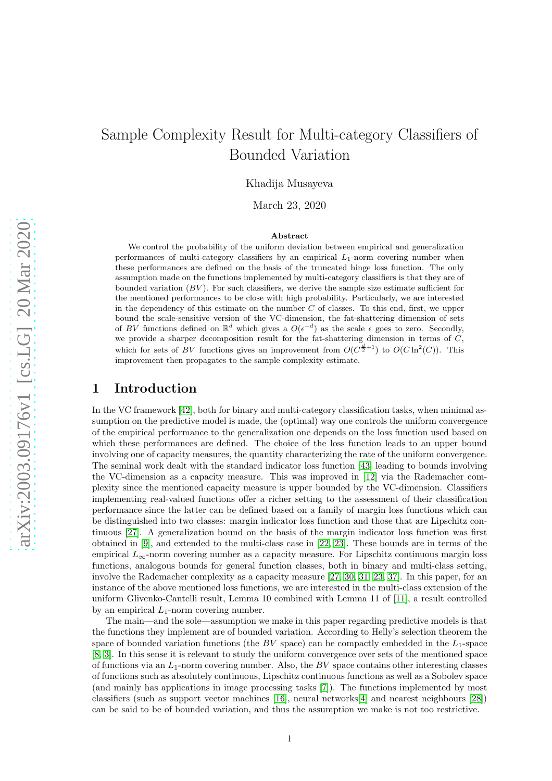# Sample Complexity Result for Multi-category Classifiers of Bounded Variation

Khadija Musayeva

March 23, 2020

#### Abstract

We control the probability of the uniform deviation between empirical and generalization performances of multi-category classifiers by an empirical  $L_1$ -norm covering number when these performances are defined on the basis of the truncated hinge loss function. The only assumption made on the functions implemented by multi-category classifiers is that they are of bounded variation  $(BV)$ . For such classifiers, we derive the sample size estimate sufficient for the mentioned performances to be close with high probability. Particularly, we are interested in the dependency of this estimate on the number  $C$  of classes. To this end, first, we upper bound the scale-sensitive version of the VC-dimension, the fat-shattering dimension of sets of BV functions defined on  $\mathbb{R}^d$  which gives a  $O(\epsilon^{-d})$  as the scale  $\epsilon$  goes to zero. Secondly, we provide a sharper decomposition result for the fat-shattering dimension in terms of  $C$ , which for sets of BV functions gives an improvement from  $O(C^{\frac{d}{2}+1})$  to  $O(C \ln^2(C))$ . This improvement then propagates to the sample complexity estimate.

### 1 Introduction

In the VC framework [\[42\]](#page-16-0), both for binary and multi-category classification tasks, when minimal assumption on the predictive model is made, the (optimal) way one controls the uniform convergence of the empirical performance to the generalization one depends on the loss function used based on which these performances are defined. The choice of the loss function leads to an upper bound involving one of capacity measures, the quantity characterizing the rate of the uniform convergence. The seminal work dealt with the standard indicator loss function [\[43\]](#page-16-1) leading to bounds involving the VC-dimension as a capacity measure. This was improved in [\[12\]](#page-15-0) via the Rademacher complexity since the mentioned capacity measure is upper bounded by the VC-dimension. Classifiers implementing real-valued functions offer a richer setting to the assessment of their classification performance since the latter can be defined based on a family of margin loss functions which can be distinguished into two classes: margin indicator loss function and those that are Lipschitz continuous [\[27\]](#page-16-2). A generalization bound on the basis of the margin indicator loss function was first obtained in [\[9\]](#page-15-1), and extended to the multi-class case in [\[22,](#page-15-2) [23\]](#page-15-3). These bounds are in terms of the empirical  $L_{\infty}$ -norm covering number as a capacity measure. For Lipschitz continuous margin loss functions, analogous bounds for general function classes, both in binary and multi-class setting, involve the Rademacher complexity as a capacity measure [\[27,](#page-16-2) [30,](#page-16-3) [31,](#page-16-4) [23,](#page-15-3) [37\]](#page-16-5). In this paper, for an instance of the above mentioned loss functions, we are interested in the multi-class extension of the uniform Glivenko-Cantelli result, Lemma 10 combined with Lemma 11 of [\[11\]](#page-15-4), a result controlled by an empirical  $L_1$ -norm covering number.

The main—and the sole—assumption we make in this paper regarding predictive models is that the functions they implement are of bounded variation. According to Helly's selection theorem the space of bounded variation functions (the  $BV$  space) can be compactly embedded in the  $L_1$ -space [\[8,](#page-15-5) [3\]](#page-15-6). In this sense it is relevant to study the uniform convergence over sets of the mentioned space of functions via an  $L_1$ -norm covering number. Also, the BV space contains other interesting classes of functions such as absolutely continuous, Lipschitz continuous functions as well as a Sobolev space (and mainly has applications in image processing tasks [\[7\]](#page-15-7)). The functions implemented by most classifiers (such as support vector machines [\[16\]](#page-15-8), neural networks[\[4\]](#page-15-9) and nearest neighbours [\[28\]](#page-16-6)) can be said to be of bounded variation, and thus the assumption we make is not too restrictive.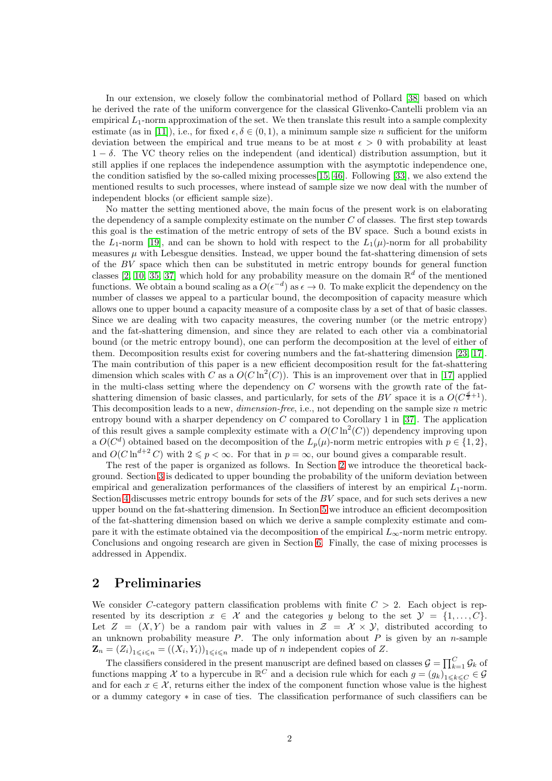In our extension, we closely follow the combinatorial method of Pollard [\[38\]](#page-16-7) based on which he derived the rate of the uniform convergence for the classical Glivenko-Cantelli problem via an empirical  $L_1$ -norm approximation of the set. We then translate this result into a sample complexity estimate (as in [\[11\]](#page-15-4)), i.e., for fixed  $\epsilon, \delta \in (0, 1)$ , a minimum sample size *n* sufficient for the uniform deviation between the empirical and true means to be at most  $\epsilon > 0$  with probability at least  $1 - \delta$ . The VC theory relies on the independent (and identical) distribution assumption, but it still applies if one replaces the independence assumption with the asymptotic independence one, the condition satisfied by the so-called mixing processes[\[15,](#page-15-10) [46\]](#page-17-0). Following [\[33\]](#page-16-8), we also extend the mentioned results to such processes, where instead of sample size we now deal with the number of independent blocks (or efficient sample size).

No matter the setting mentioned above, the main focus of the present work is on elaborating the dependency of a sample complexity estimate on the number  $C$  of classes. The first step towards this goal is the estimation of the metric entropy of sets of the BV space. Such a bound exists in the  $L_1$ -norm [\[19\]](#page-15-11), and can be shown to hold with respect to the  $L_1(\mu)$ -norm for all probability measures  $\mu$  with Lebesgue densities. Instead, we upper bound the fat-shattering dimension of sets of the BV space which then can be substituted in metric entropy bounds for general function classes [\[2,](#page-14-0) [10,](#page-15-12) [35,](#page-16-9) [37\]](#page-16-5) which hold for any probability measure on the domain  $\mathbb{R}^d$  of the mentioned functions. We obtain a bound scaling as a  $O(\epsilon^{-d})$  as  $\epsilon \to 0$ . To make explicit the dependency on the number of classes we appeal to a particular bound, the decomposition of capacity measure which allows one to upper bound a capacity measure of a composite class by a set of that of basic classes. Since we are dealing with two capacity measures, the covering number (or the metric entropy) and the fat-shattering dimension, and since they are related to each other via a combinatorial bound (or the metric entropy bound), one can perform the decomposition at the level of either of them. Decomposition results exist for covering numbers and the fat-shattering dimension [\[23,](#page-15-3) [17\]](#page-15-13). The main contribution of this paper is a new efficient decomposition result for the fat-shattering dimension which scales with C as a  $O(C \ln^2(C))$ . This is an improvement over that in [\[17\]](#page-15-13) applied in the multi-class setting where the dependency on  $C$  worsens with the growth rate of the fatshattering dimension of basic classes, and particularly, for sets of the BV space it is a  $O(C^{\frac{d}{2}+1})$ . This decomposition leads to a new, *dimension-free*, i.e., not depending on the sample size  $n$  metric entropy bound with a sharper dependency on  $C$  compared to Corollary 1 in [\[37\]](#page-16-5). The application of this result gives a sample complexity estimate with a  $O(C \ln^2(C))$  dependency improving upon a  $O(C^d)$  obtained based on the decomposition of the  $L_p(\mu)$ -norm metric entropies with  $p \in \{1, 2\}$ , and  $O(C \ln^{d+2} C)$  with  $2 \leq p < \infty$ . For that in  $p = \infty$ , our bound gives a comparable result.

The rest of the paper is organized as follows. In Section [2](#page-1-0) we introduce the theoretical background. Section [3](#page-4-0) is dedicated to upper bounding the probability of the uniform deviation between empirical and generalization performances of the classifiers of interest by an empirical  $L_1$ -norm. Section [4](#page-5-0) discusses metric entropy bounds for sets of the BV space, and for such sets derives a new upper bound on the fat-shattering dimension. In Section [5](#page-8-0) we introduce an efficient decomposition of the fat-shattering dimension based on which we derive a sample complexity estimate and compare it with the estimate obtained via the decomposition of the empirical  $L_{\infty}$ -norm metric entropy. Conclusions and ongoing research are given in Section [6.](#page-11-0) Finally, the case of mixing processes is addressed in Appendix.

### <span id="page-1-0"></span>2 Preliminaries

We consider C-category pattern classification problems with finite  $C > 2$ . Each object is represented by its description  $x \in \mathcal{X}$  and the categories y belong to the set  $\mathcal{Y} = \{1, \ldots, C\}$ . Let  $Z = (X, Y)$  be a random pair with values in  $\mathcal{Z} = \mathcal{X} \times \mathcal{Y}$ , distributed according to an unknown probability measure  $P$ . The only information about  $P$  is given by an *n*-sample  $\mathbf{Z}_n = (Z_i)_{1 \leqslant i \leqslant n} = ((X_i, Y_i))_{1 \leqslant i \leqslant n}$  made up of *n* independent copies of *Z*.

The classifiers considered in the present manuscript are defined based on classes  $\mathcal{G} = \prod_{k=1}^{C} \mathcal{G}_k$  of functions mapping X to a hypercube in  $\mathbb{R}^C$  and a decision rule which for each  $g = (g_k)_{1 \leq k \leq C} \in \mathcal{G}$ and for each  $x \in \mathcal{X}$ , returns either the index of the component function whose value is the highest or a dummy category ∗ in case of ties. The classification performance of such classifiers can be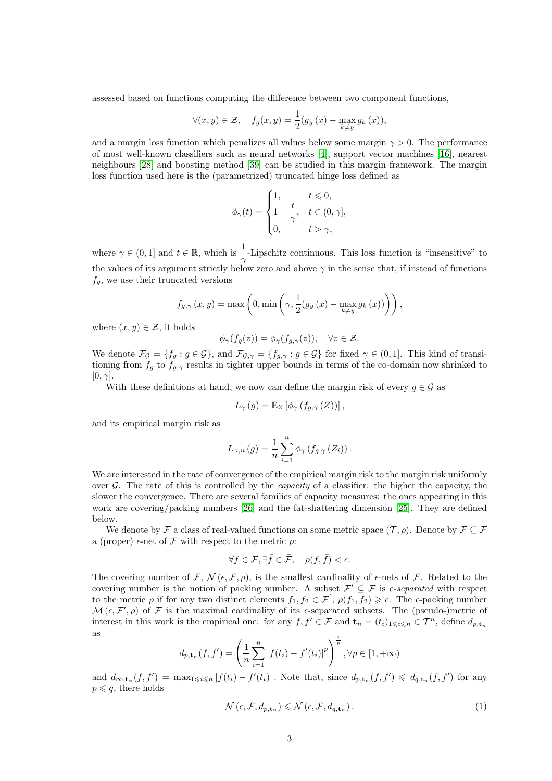assessed based on functions computing the difference between two component functions,

$$
\forall (x, y) \in \mathcal{Z}, \quad f_g(x, y) = \frac{1}{2}(g_y(x) - \max_{k \neq y} g_k(x)),
$$

and a margin loss function which penalizes all values below some margin  $\gamma > 0$ . The performance of most well-known classifiers such as neural networks [\[4\]](#page-15-9), support vector machines [\[16\]](#page-15-8), nearest neighbours [\[28\]](#page-16-6) and boosting method [\[39\]](#page-16-10) can be studied in this margin framework. The margin loss function used here is the (parametrized) truncated hinge loss defined as

$$
\phi_{\gamma}(t) = \begin{cases} 1, & t \leq 0, \\ 1 - \frac{t}{\gamma}, & t \in (0, \gamma], \\ 0, & t > \gamma, \end{cases}
$$

where  $\gamma \in (0,1]$  and  $t \in \mathbb{R}$ , which is  $\frac{1}{\gamma}$ -Lipschitz continuous. This loss function is "insensitive" to the values of its argument strictly below zero and above  $\gamma$  in the sense that, if instead of functions  $f_q$ , we use their truncated versions

$$
f_{g,\gamma}(x,y) = \max\left(0, \min\left(\gamma, \frac{1}{2}(g_y(x) - \max_{k \neq y} g_k(x))\right)\right),\,
$$

where  $(x, y) \in \mathcal{Z}$ , it holds

$$
\phi_{\gamma}(f_g(z)) = \phi_{\gamma}(f_{g,\gamma}(z)), \quad \forall z \in \mathcal{Z}.
$$

We denote  $\mathcal{F}_{\mathcal{G}} = \{f_g : g \in \mathcal{G}\}\$ , and  $\mathcal{F}_{\mathcal{G},\gamma} = \{f_{g,\gamma} : g \in \mathcal{G}\}\$  for fixed  $\gamma \in (0,1]$ . This kind of transitioning from  $f_g$  to  $f_{g,\gamma}$  results in tighter upper bounds in terms of the co-domain now shrinked to  $[0, \gamma]$ .

With these definitions at hand, we now can define the margin risk of every  $g \in \mathcal{G}$  as

$$
L_{\gamma}\left(g\right) = \mathbb{E}_{Z}\left[\phi_{\gamma}\left(f_{g,\gamma}\left(Z\right)\right)\right],
$$

and its empirical margin risk as

$$
L_{\gamma,n}(g) = \frac{1}{n} \sum_{i=1}^{n} \phi_{\gamma} (f_{g,\gamma} (Z_i)).
$$

We are interested in the rate of convergence of the empirical margin risk to the margin risk uniformly over  $\mathcal G$ . The rate of this is controlled by the *capacity* of a classifier: the higher the capacity, the slower the convergence. There are several families of capacity measures: the ones appearing in this work are covering/packing numbers [\[26\]](#page-16-11) and the fat-shattering dimension [\[25\]](#page-16-12). They are defined below.

We denote by F a class of real-valued functions on some metric space  $(\mathcal{T}, \rho)$ . Denote by  $\bar{\mathcal{F}} \subset \mathcal{F}$ a (proper)  $\epsilon$ -net of F with respect to the metric  $\rho$ :

$$
\forall f \in \mathcal{F}, \exists \bar{f} \in \bar{\mathcal{F}}, \quad \rho(f, \bar{f}) < \epsilon.
$$

The covering number of  $\mathcal{F}, \mathcal{N}(\epsilon, \mathcal{F}, \rho)$ , is the smallest cardinality of  $\epsilon$ -nets of  $\mathcal{F}$ . Related to the covering number is the notion of packing number. A subset  $\mathcal{F}' \subseteq \mathcal{F}$  is  $\epsilon$ -separated with respect to the metric  $\rho$  if for any two distinct elements  $f_1, f_2 \in \mathcal{F}'$ ,  $\rho(f_1, f_2) \geq \epsilon$ . The  $\epsilon$ -packing number  $\mathcal{M}(\epsilon, \mathcal{F}', \rho)$  of  $\mathcal F$  is the maximal cardinality of its  $\epsilon$ -separated subsets. The (pseudo-)metric of interest in this work is the empirical one: for any  $f, f' \in \mathcal{F}$  and  $\mathbf{t}_n = (t_i)_{1 \leq i \leq n} \in \mathcal{T}^n$ , define  $d_{p,\mathbf{t}_n}$ as

$$
d_{p,\mathbf{t}_n}(f, f') = \left(\frac{1}{n} \sum_{i=1}^n |f(t_i) - f'(t_i)|^p\right)^{\frac{1}{p}}, \forall p \in [1, +\infty)
$$

and  $d_{\infty,\mathbf{t}_n}(f, f') = \max_{1 \leq i \leq n} |f(t_i) - f'(t_i)|$ . Note that, since  $d_{p,\mathbf{t}_n}(f, f') \leq d_{q,\mathbf{t}_n}(f, f')$  for any  $p \leqslant q$ , there holds

<span id="page-2-0"></span>
$$
\mathcal{N}\left(\epsilon, \mathcal{F}, d_{p, \mathbf{t}_n}\right) \leqslant \mathcal{N}\left(\epsilon, \mathcal{F}, d_{q, \mathbf{t}_n}\right). \tag{1}
$$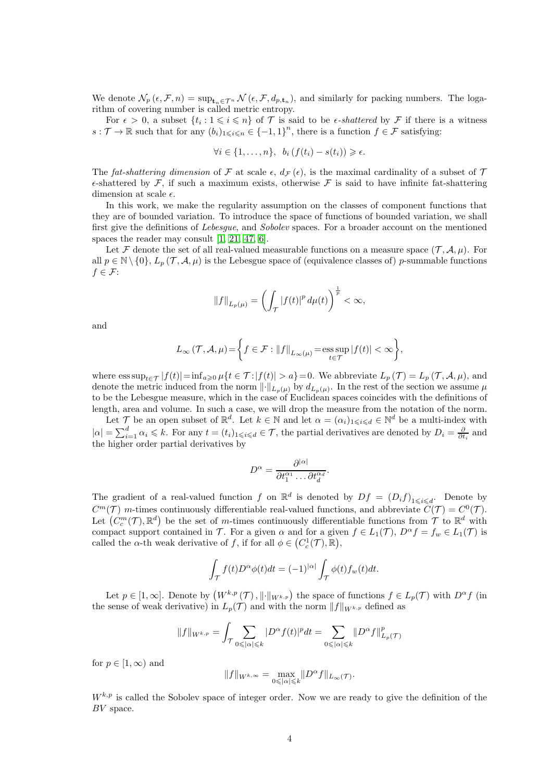We denote  $\mathcal{N}_p(\epsilon, \mathcal{F}, n) = \sup_{\mathbf{t}_n \in \mathcal{T}^n} \mathcal{N}(\epsilon, \mathcal{F}, d_{p,\mathbf{t}_n})$ , and similarly for packing numbers. The logarithm of covering number is called metric entropy.

For  $\epsilon > 0$ , a subset  $\{t_i : 1 \leq i \leq n\}$  of  $\mathcal T$  is said to be  $\epsilon$ -shattered by  $\mathcal F$  if there is a witness  $s: \mathcal{T} \to \mathbb{R}$  such that for any  $(b_i)_{1 \leq i \leq n} \in {\{-1,1\}}^n$ , there is a function  $f \in \mathcal{F}$  satisfying:

$$
\forall i \in \{1,\ldots,n\}, \ b_i \left(f(t_i)-s(t_i)\right) \geqslant \epsilon.
$$

The fat-shattering dimension of F at scale  $\epsilon$ ,  $d_{\mathcal{F}}(\epsilon)$ , is the maximal cardinality of a subset of T  $\epsilon$ -shattered by  $\mathcal F$ , if such a maximum exists, otherwise  $\mathcal F$  is said to have infinite fat-shattering dimension at scale  $\epsilon$ .

In this work, we make the regularity assumption on the classes of component functions that they are of bounded variation. To introduce the space of functions of bounded variation, we shall first give the definitions of Lebesgue, and Sobolev spaces. For a broader account on the mentioned spaces the reader may consult [\[1,](#page-14-1) [21,](#page-15-14) [47,](#page-17-1) [6\]](#page-15-15).

Let F denote the set of all real-valued measurable functions on a measure space  $(\mathcal{T}, \mathcal{A}, \mu)$ . For all  $p \in \mathbb{N} \setminus \{0\}, L_p(\mathcal{T}, \mathcal{A}, \mu)$  is the Lebesgue space of (equivalence classes of) p-summable functions  $f \in \mathcal{F}$ :

$$
||f||_{L_p(\mu)} = \left(\int_{\mathcal{T}} |f(t)|^p \, d\mu(t)\right)^{\frac{1}{p}} < \infty,
$$

and

$$
L_{\infty}(\mathcal{T}, \mathcal{A}, \mu) = \bigg\{ f \in \mathcal{F} : ||f||_{L_{\infty}(\mu)} = \operatorname*{ess\,sup}_{t \in \mathcal{T}} |f(t)| < \infty \bigg\},
$$

where  $\operatorname{ess\,sup}_{t\in\mathcal{T}}|f(t)|=\operatorname{inf}_{a\geqslant 0}\mu\{t\in\mathcal{T}:|f(t)|>a\}=0.$  We abbreviate  $L_p(\mathcal{T})=L_p(\mathcal{T},\mathcal{A},\mu)$ , and denote the metric induced from the norm  $\|\cdot\|_{L_p(\mu)}$  by  $d_{L_p(\mu)}$ . In the rest of the section we assume  $\mu$ to be the Lebesgue measure, which in the case of Euclidean spaces coincides with the definitions of length, area and volume. In such a case, we will drop the measure from the notation of the norm.

Let  $\mathcal{T}$  be an open subset of  $\mathbb{R}^d$ . Let  $k \in \mathbb{N}$  and let  $\alpha = (\alpha_i)_{1 \leqslant i \leqslant d} \in \mathbb{N}^d$  be a multi-index with  $|\alpha| = \sum_{i=1}^d \alpha_i \leq k$ . For any  $t = (t_i)_{1 \leq i \leq d} \in \mathcal{T}$ , the partial derivatives are denoted by  $D_i = \frac{\partial}{\partial t_i}$  and the higher order partial derivatives by

$$
D^{\alpha} = \frac{\partial^{|\alpha|}}{\partial t_1^{\alpha_1} \dots \partial t_d^{\alpha_d}}.
$$

The gradient of a real-valued function f on  $\mathbb{R}^d$  is denoted by  $Df = (D_i f)_{1 \leqslant i \leqslant d}$ . Denote by  $C^m(\mathcal{T})$  m-times continuously differentiable real-valued functions, and abbreviate  $C(\mathcal{T}) = C^0(\mathcal{T})$ . Let  $(C_c^m(\mathcal{T}), \mathbb{R}^d)$  be the set of m-times continuously differentiable functions from  $\mathcal{T}$  to  $\mathbb{R}^d$  with compact support contained in T. For a given  $\alpha$  and for a given  $f \in L_1(\mathcal{T})$ ,  $D^{\alpha} f = f_w \in L_1(\mathcal{T})$  is called the  $\alpha$ -th weak derivative of f, if for all  $\phi \in (C_c^1(\mathcal{T}), \mathbb{R}),$ 

$$
\int_{\mathcal{T}} f(t) D^{\alpha} \phi(t) dt = (-1)^{|\alpha|} \int_{\mathcal{T}} \phi(t) f_w(t) dt.
$$

Let  $p \in [1,\infty]$ . Denote by  $(W^{k,p}(\mathcal{T}), \|\cdot\|_{W^{k,p}})$  the space of functions  $f \in L_p(\mathcal{T})$  with  $D^{\alpha}f$  (in the sense of weak derivative) in  $L_p(\mathcal{T})$  and with the norm  $||f||_{W^{k,p}}$  defined as

$$
||f||_{W^{k,p}} = \int_{\mathcal{T}} \sum_{0 \leqslant |\alpha| \leqslant k} |D^{\alpha} f(t)|^p dt = \sum_{0 \leqslant |\alpha| \leqslant k} ||D^{\alpha} f||_{L_p(\mathcal{T})}^p
$$

for  $p \in [1, \infty)$  and

$$
||f||_{W^{k,\infty}} = \max_{0 \leqslant |\alpha| \leqslant k} ||D^\alpha f||_{L_\infty(\mathcal{T})}.
$$

 $W^{k,p}$  is called the Sobolev space of integer order. Now we are ready to give the definition of the BV space.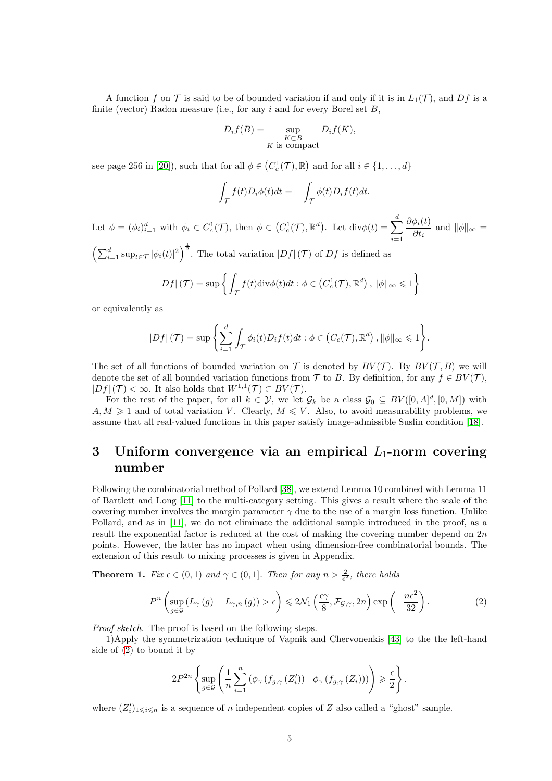A function f on T is said to be of bounded variation if and only if it is in  $L_1(\mathcal{T})$ , and Df is a finite (vector) Radon measure (i.e., for any i and for every Borel set  $B$ ,

$$
D_i f(B) = \sup_{\substack{K \subset B \\ K \text{ is compact}}} D_i f(K),
$$

see page 256 in [\[20\]](#page-15-16)), such that for all  $\phi \in (C_c^1(\mathcal{T}), \mathbb{R})$  and for all  $i \in \{1, ..., d\}$ 

$$
\int_{\mathcal{T}} f(t) D_i \phi(t) dt = - \int_{\mathcal{T}} \phi(t) D_i f(t) dt.
$$

Let  $\phi = (\phi_i)_{i=1}^d$  with  $\phi_i \in C_c^1(\mathcal{T})$ , then  $\phi \in (C_c^1(\mathcal{T}), \mathbb{R}^d)$ . Let  $\text{div}\phi(t) = \sum$ d  $i=1$  $\partial \phi_i(t)$  $\frac{\partial^2 t}{\partial t_i}$  and  $\|\phi\|_{\infty} =$ 

 $\left(\sum_{i=1}^d \sup_{t \in \mathcal{T}} |\phi_i(t)|^2\right)^{\frac{1}{2}}$ . The total variation  $|Df|(\mathcal{T})$  of  $Df$  is defined as

$$
|Df|(\mathcal{T}) = \sup \left\{ \int_{\mathcal{T}} f(t) \text{div} \phi(t) dt : \phi \in (C_c^1(\mathcal{T}), \mathbb{R}^d), \|\phi\|_{\infty} \leq 1 \right\}
$$

or equivalently as

$$
|Df|(\mathcal{T}) = \sup \left\{ \sum_{i=1}^d \int_{\mathcal{T}} \phi_i(t) D_i f(t) dt : \phi \in (C_c(\mathcal{T}), \mathbb{R}^d), ||\phi||_{\infty} \leq 1 \right\}.
$$

The set of all functions of bounded variation on T is denoted by  $BV(\mathcal{T})$ . By  $BV(\mathcal{T}, B)$  we will denote the set of all bounded variation functions from T to B. By definition, for any  $f \in BV(\mathcal{T})$ ,  $|Df|(\mathcal{T}) < \infty$ . It also holds that  $W^{1,1}(\mathcal{T}) \subset BV(\mathcal{T})$ .

For the rest of the paper, for all  $k \in \mathcal{Y}$ , we let  $\mathcal{G}_k$  be a class  $\mathcal{G}_0 \subseteq BV([0, A]^d, [0, M])$  with  $A, M \geq 1$  and of total variation V. Clearly,  $M \leq V$ . Also, to avoid measurability problems, we assume that all real-valued functions in this paper satisfy image-admissible Suslin condition [\[18\]](#page-15-17).

## <span id="page-4-0"></span>3 Uniform convergence via an empirical  $L_1$ -norm covering number

Following the combinatorial method of Pollard [\[38\]](#page-16-7), we extend Lemma 10 combined with Lemma 11 of Bartlett and Long [\[11\]](#page-15-4) to the multi-category setting. This gives a result where the scale of the covering number involves the margin parameter  $\gamma$  due to the use of a margin loss function. Unlike Pollard, and as in [\[11\]](#page-15-4), we do not eliminate the additional sample introduced in the proof, as a result the exponential factor is reduced at the cost of making the covering number depend on  $2n$ points. However, the latter has no impact when using dimension-free combinatorial bounds. The extension of this result to mixing processes is given in Appendix.

<span id="page-4-2"></span>**Theorem 1.** Fix  $\epsilon \in (0,1)$  and  $\gamma \in (0,1]$ . Then for any  $n > \frac{2}{\epsilon^2}$ , there holds

$$
P^{n}\left(\sup_{g\in\mathcal{G}}\left(L_{\gamma}\left(g\right)-L_{\gamma,n}\left(g\right)\right)>\epsilon\right)\leqslant 2\mathcal{N}_{1}\left(\frac{\epsilon\gamma}{8},\mathcal{F}_{\mathcal{G},\gamma},2n\right)\exp\left(-\frac{n\epsilon^{2}}{32}\right).
$$
\n<sup>(2)</sup>

Proof sketch. The proof is based on the following steps.

1)Apply the symmetrization technique of Vapnik and Chervonenkis [\[43\]](#page-16-1) to the the left-hand side of [\(2\)](#page-4-1) to bound it by

<span id="page-4-1"></span>
$$
2P^{2n}\left\{\sup_{g\in\mathcal{G}}\left(\frac{1}{n}\sum_{i=1}^n\left(\phi_\gamma\left(f_{g,\gamma}\left(Z_i'\right)\right)-\phi_\gamma\left(f_{g,\gamma}\left(Z_i\right)\right)\right)\right)\geqslant\frac{\epsilon}{2}\right\}.
$$

where  $(Z'_i)_{1\leq i\leq n}$  is a sequence of n independent copies of Z also called a "ghost" sample.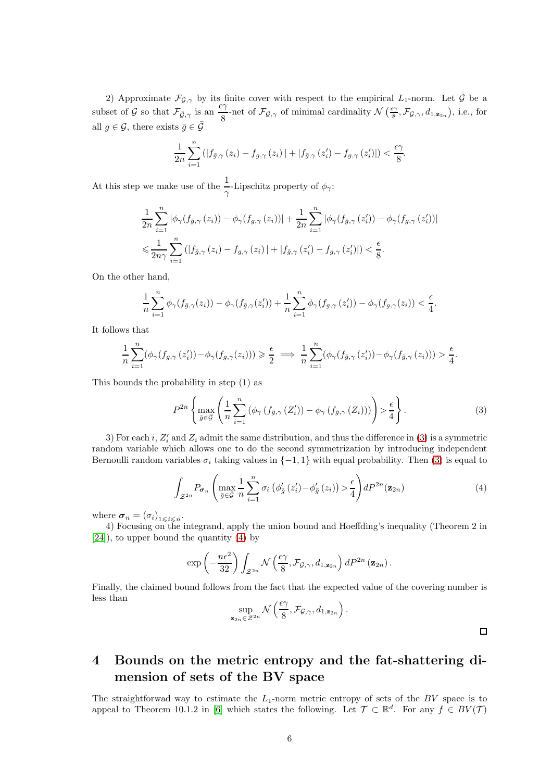2) Approximate  $\mathcal{F}_{\mathcal{G},\gamma}$  by its finite cover with respect to the empirical  $L_1$ -norm. Let  $\bar{\mathcal{G}}$  be a subset of G so that  $\mathcal{F}_{\bar{G},\gamma}$  is an  $\frac{\epsilon \gamma}{8}$ <sup>2</sup>/<sub>8</sub> -net of  $\mathcal{F}_{\mathcal{G},\gamma}$  of minimal cardinality  $\mathcal{N}\left(\frac{\epsilon\gamma}{8}\right)$  $(\frac{\varepsilon \gamma}{8}, \mathcal{F}_{\mathcal{G}, \gamma}, d_{1, \mathbf{z}_{2n}}),$  i.e., for all  $g \in \mathcal{G}$ , there exists  $\bar{g} \in \bar{\mathcal{G}}$ 

$$
\frac{1}{2n}\sum_{i=1}^{n}\left(|f_{\bar{g},\gamma}(z_i)-f_{g,\gamma}(z_i)|+|f_{\bar{g},\gamma}(z'_i)-f_{g,\gamma}(z'_i)|\right)<\frac{\epsilon\gamma}{8}.
$$

At this step we make use of the  $\frac{1}{\gamma}$ -Lipschitz property of  $\phi_{\gamma}$ :

$$
\frac{1}{2n} \sum_{i=1}^{n} |\phi_{\gamma}(f_{\bar{g},\gamma}(z_i)) - \phi_{\gamma}(f_{g,\gamma}(z_i))| + \frac{1}{2n} \sum_{i=1}^{n} |\phi_{\gamma}(f_{\bar{g},\gamma}(z'_i)) - \phi_{\gamma}(f_{g,\gamma}(z'_i))|
$$
  

$$
\leq \frac{1}{2n\gamma} \sum_{i=1}^{n} (|f_{\bar{g},\gamma}(z_i) - f_{g,\gamma}(z_i)| + |f_{\bar{g},\gamma}(z'_i) - f_{g,\gamma}(z'_i)|) < \frac{\epsilon}{8}.
$$

On the other hand,

$$
\frac{1}{n}\sum_{i=1}^n \phi_\gamma(f_{\bar{g},\gamma}(z_i)) - \phi_\gamma(f_{\bar{g},\gamma}(z_i')) + \frac{1}{n}\sum_{i=1}^n \phi_\gamma(f_{g,\gamma}(z_i')) - \phi_\gamma(f_{g,\gamma}(z_i)) < \frac{\epsilon}{4}
$$

It follows that

$$
\frac{1}{n}\sum_{i=1}^n(\phi_\gamma(f_{g,\gamma}(z_i'))-\phi_\gamma(f_{g,\gamma}(z_i)))\geqslant \frac{\epsilon}{2}\implies \frac{1}{n}\sum_{i=1}^n(\phi_\gamma(f_{\bar{g},\gamma}(z_i'))-\phi_\gamma(f_{\bar{g},\gamma}(z_i)))>\frac{\epsilon}{4}.
$$

This bounds the probability in step (1) as

$$
P^{2n}\left\{\max_{\bar{g}\in\bar{\mathcal{G}}}\left(\frac{1}{n}\sum_{i=1}^{n}\left(\phi_{\gamma}\left(f_{\bar{g},\gamma}\left(Z_{i}'\right)\right)-\phi_{\gamma}\left(f_{\bar{g},\gamma}\left(Z_{i}\right)\right)\right)\right)>\frac{\epsilon}{4}\right\}.
$$
\n(3)

<span id="page-5-2"></span><span id="page-5-1"></span>.

3) For each i,  $Z'_i$  and  $Z_i$  admit the same distribution, and thus the difference in [\(3\)](#page-5-1) is a symmetric random variable which allows one to do the second symmetrization by introducing independent Bernoulli random variables  $\sigma_i$  taking values in  $\{-1, 1\}$  with equal probability. Then [\(3\)](#page-5-1) is equal to

$$
\int_{\mathcal{Z}^{2n}} P_{\sigma_n} \left( \max_{\bar{g} \in \bar{\mathcal{G}}} \frac{1}{n} \sum_{i=1}^n \sigma_i \left( \phi_{\bar{g}}' \left( z_i' \right) - \phi_{\bar{g}}' \left( z_i \right) \right) > \frac{\epsilon}{4} \right) dP^{2n}(\mathbf{z}_{2n}) \tag{4}
$$

where  $\boldsymbol{\sigma}_n = (\sigma_i)_{1 \leqslant i \leqslant n}$ .

4) Focusing on the integrand, apply the union bound and Hoeffding's inequality (Theorem 2 in [\[24\]](#page-16-13)), to upper bound the quantity [\(4\)](#page-5-2) by

$$
\exp\left(-\frac{n\epsilon^2}{32}\right)\int_{\mathcal{Z}^{2n}}\mathcal{N}\left(\frac{\epsilon\gamma}{8},\mathcal{F}_{\mathcal{G},\gamma},d_{1,\mathbf{z}_{2n}}\right)dP^{2n}\left(\mathbf{z}_{2n}\right).
$$

Finally, the claimed bound follows from the fact that the expected value of the covering number is less than

$$
\sup_{\mathbf{z}_{2n}\in\mathcal{Z}^{2n}}\mathcal{N}\left(\frac{\epsilon\gamma}{8},\mathcal{F}_{\mathcal{G},\gamma},d_{1,\mathbf{z}_{2n}}\right).
$$

## <span id="page-5-0"></span>4 Bounds on the metric entropy and the fat-shattering dimension of sets of the BV space

The straightforwad way to estimate the  $L_1$ -norm metric entropy of sets of the  $BV$  space is to appeal to Theorem 10.1.2 in [\[6\]](#page-15-15) which states the following. Let  $\mathcal{T} \subset \mathbb{R}^d$ . For any  $f \in BV(\mathcal{T})$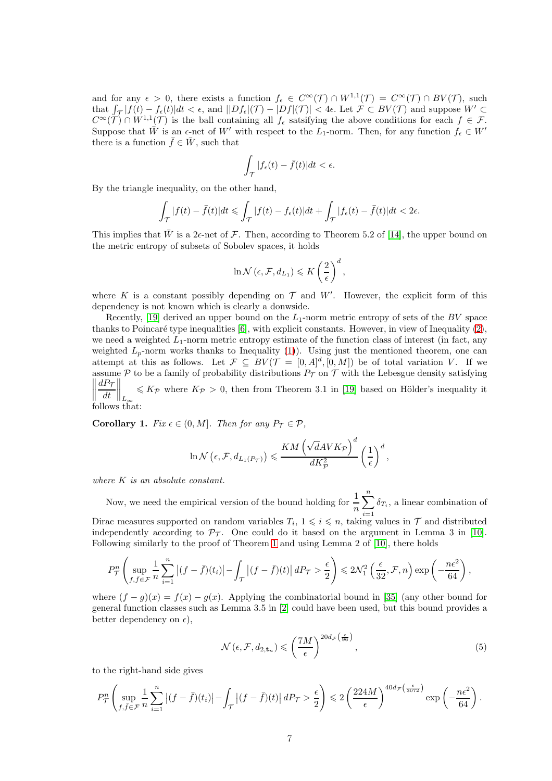and for any  $\epsilon > 0$ , there exists a function  $f_{\epsilon} \in C^{\infty}(\mathcal{T}) \cap W^{1,1}(\mathcal{T}) = C^{\infty}(\mathcal{T}) \cap BV(\mathcal{T})$ , such that  $\int_{\mathcal{T}} |f(t) - f_{\epsilon}(t)| dt < \epsilon$ , and  $||Df_{\epsilon}|(\mathcal{T}) - |Df|(\mathcal{T})| < 4\epsilon$ . Let  $\mathcal{F} \subset BV(\mathcal{T})$  and suppose  $W' \subset$  $C^{\infty}(\mathcal{T}) \cap W^{1,1}(\mathcal{T})$  is the ball containing all  $f_{\epsilon}$  satsifying the above conditions for each  $f \in \mathcal{F}$ . Suppose that  $\bar{W}$  is an  $\epsilon$ -net of W' with respect to the L<sub>1</sub>-norm. Then, for any function  $f_{\epsilon} \in W'$ there is a function  $\bar{f} \in \bar{W}$ , such that

$$
\int_{\mathcal{T}} |f_{\epsilon}(t) - \bar{f}(t)| dt < \epsilon.
$$

By the triangle inequality, on the other hand,

$$
\int_{\mathcal{T}} |f(t) - \bar{f}(t)| dt \leq \int_{\mathcal{T}} |f(t) - f_{\epsilon}(t)| dt + \int_{\mathcal{T}} |f_{\epsilon}(t) - \bar{f}(t)| dt < 2\epsilon.
$$

This implies that  $\bar{W}$  is a 2 $\epsilon$ -net of F. Then, according to Theorem 5.2 of [\[14\]](#page-15-18), the upper bound on the metric entropy of subsets of Sobolev spaces, it holds

$$
\ln \mathcal{N}\left(\epsilon, \mathcal{F}, d_{L_1}\right) \leqslant K \left(\frac{2}{\epsilon}\right)^d,
$$

where K is a constant possibly depending on  $\mathcal T$  and W'. However, the explicit form of this dependency is not known which is clearly a donwside.

Recently, [\[19\]](#page-15-11) derived an upper bound on the  $L_1$ -norm metric entropy of sets of the BV space thanks to Poincaré type inequalities  $[6]$ , with explicit constants. However, in view of Inequality  $(2)$ , we need a weighted  $L_1$ -norm metric entropy estimate of the function class of interest (in fact, any weighted  $L_p$ -norm works thanks to Inequality [\(1\)](#page-2-0)). Using just the mentioned theorem, one can attempt at this as follows. Let  $\mathcal{F} \subseteq BV(\mathcal{T} = [0, A]^d, [0, M])$  be of total variation V. If we assume  $P$  to be a family of probability distributions  $P_T$  on  $T$  with the Lebesgue density satisfying  $\frac{1}{2}$  $dP_{\mathcal{T}}$ dt  $\Big\|_{L_\infty}$  $\leqslant K_{\mathcal{P}}$  where  $K_{\mathcal{P}} > 0$ , then from Theorem 3.1 in [\[19\]](#page-15-11) based on Hölder's inequality it follows that:

Corollary 1. Fix  $\epsilon \in (0, M]$ . Then for any  $P_{\mathcal{T}} \in \mathcal{P}$ ,

$$
\ln \mathcal{N}\left(\epsilon, \mathcal{F}, d_{L_1(P_{\mathcal{T}})}\right) \leqslant \frac{KM\left(\sqrt{d}AVK_{\mathcal{P}}\right)^d}{dK_{\mathcal{P}}^2} \left(\frac{1}{\epsilon}\right)^d,
$$

where K is an absolute constant.

Now, we need the empirical version of the bound holding for  $\frac{1}{n}$  $\sum_{n=1}^{\infty}$  $i=1$  $\delta_{T_i}$ , a linear combination of Dirac measures supported on random variables  $T_i$ ,  $1 \leq i \leq n$ , taking values in  $\mathcal T$  and distributed independently according to  $\mathcal{P}_{\mathcal{T}}$ . One could do it based on the argument in Lemma 3 in [\[10\]](#page-15-12). Following similarly to the proof of Theorem [1](#page-4-2) and using Lemma 2 of [\[10\]](#page-15-12), there holds

$$
P^n_{\mathcal{T}}\left(\sup_{f,\bar{f}\in\mathcal{F}}\frac{1}{n}\sum_{i=1}^n\left|(f-\bar{f})(t_i)\right|-\int_{\mathcal{T}}\left|(f-\bar{f})(t)\right|dP_{\mathcal{T}}>\frac{\epsilon}{2}\right)\leqslant 2\mathcal{N}_1^2\left(\frac{\epsilon}{32},\mathcal{F},n\right)\exp\left(-\frac{n\epsilon^2}{64}\right),
$$

where  $(f - g)(x) = f(x) - g(x)$ . Applying the combinatorial bound in [\[35\]](#page-16-9) (any other bound for general function classes such as Lemma 3.5 in [\[2\]](#page-14-0) could have been used, but this bound provides a better dependency on  $\epsilon$ ),

<span id="page-6-0"></span>
$$
\mathcal{N}\left(\epsilon, \mathcal{F}, d_{2, \mathbf{t}_n}\right) \leqslant \left(\frac{7M}{\epsilon}\right)^{20d_{\mathcal{F}}\left(\frac{\epsilon}{96}\right)},\tag{5}
$$

to the right-hand side gives

$$
P_{\mathcal{T}}^n \left( \sup_{f, \bar{f} \in \mathcal{F}} \frac{1}{n} \sum_{i=1}^n \left| (f - \bar{f})(t_i) \right| - \int_{\mathcal{T}} \left| (f - \bar{f})(t) \right| dP_{\mathcal{T}} > \frac{\epsilon}{2} \right) \leq 2 \left( \frac{224M}{\epsilon} \right)^{40d_{\mathcal{F}} \left( \frac{\epsilon}{3072} \right)} \exp\left( -\frac{n\epsilon^2}{64} \right).
$$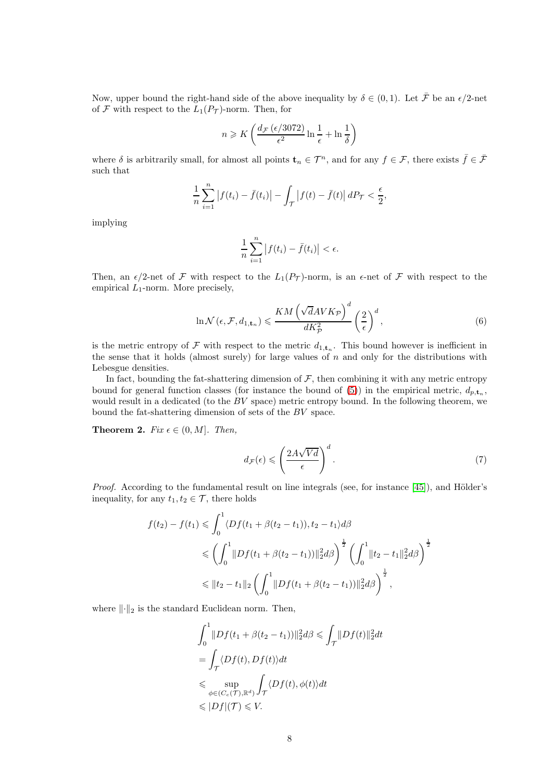Now, upper bound the right-hand side of the above inequality by  $\delta \in (0,1)$ . Let  $\bar{\mathcal{F}}$  be an  $\epsilon/2$ -net of  $\mathcal F$  with respect to the  $L_1(P_{\mathcal T})$ -norm. Then, for

$$
n \geqslant K\left(\frac{d_{\mathcal{F}}\left(\epsilon/3072\right)}{\epsilon^2}\ln\frac{1}{\epsilon} + \ln\frac{1}{\delta}\right)
$$

where  $\delta$  is arbitrarily small, for almost all points  $\mathbf{t}_n \in \mathcal{T}^n$ , and for any  $f \in \mathcal{F}$ , there exists  $\bar{f} \in \bar{\mathcal{F}}$ such that

$$
\frac{1}{n}\sum_{i=1}^{n}|f(t_i)-\bar{f}(t_i)|-\int_{\mathcal{T}}|f(t)-\bar{f}(t)|\,dP_{\mathcal{T}}<\frac{\epsilon}{2},
$$

implying

<span id="page-7-1"></span>
$$
\frac{1}{n}\sum_{i=1}^n|f(t_i)-\bar{f}(t_i)|<\epsilon.
$$

Then, an  $\epsilon/2$ -net of F with respect to the  $L_1(P_T)$ -norm, is an  $\epsilon$ -net of F with respect to the empirical  $L_1$ -norm. More precisely,

$$
\ln \mathcal{N}\left(\epsilon, \mathcal{F}, d_{1,\mathbf{t}_n}\right) \leqslant \frac{KM\left(\sqrt{d}AVK_{\mathcal{P}}\right)^d}{dK_{\mathcal{P}}^2} \left(\frac{2}{\epsilon}\right)^d,\tag{6}
$$

is the metric entropy of  $\mathcal F$  with respect to the metric  $d_{1,\mathbf t_n}$ . This bound however is inefficient in the sense that it holds (almost surely) for large values of  $n$  and only for the distributions with Lebesgue densities.

In fact, bounding the fat-shattering dimension of  $F$ , then combining it with any metric entropy bound for general function classes (for instance the bound of  $(5)$ ) in the empirical metric,  $d_{p,\mathbf{t}_n}$ , would result in a dedicated (to the BV space) metric entropy bound. In the following theorem, we bound the fat-shattering dimension of sets of the BV space.

**Theorem 2.** Fix  $\epsilon \in (0, M]$ . Then,

<span id="page-7-0"></span>
$$
d_{\mathcal{F}}(\epsilon) \leqslant \left(\frac{2A\sqrt{Vd}}{\epsilon}\right)^{d}.\tag{7}
$$

*Proof.* According to the fundamental result on line integrals (see, for instance  $[45]$ ), and Hölder's inequality, for any  $t_1, t_2 \in \mathcal{T}$ , there holds

$$
f(t_2) - f(t_1) \leq \int_0^1 \langle Df(t_1 + \beta(t_2 - t_1)), t_2 - t_1 \rangle d\beta
$$
  
\n
$$
\leq \left( \int_0^1 \|Df(t_1 + \beta(t_2 - t_1))\|_2^2 d\beta \right)^{\frac{1}{2}} \left( \int_0^1 \|t_2 - t_1\|_2^2 d\beta \right)^{\frac{1}{2}}
$$
  
\n
$$
\leq \|t_2 - t_1\|_2 \left( \int_0^1 \|Df(t_1 + \beta(t_2 - t_1))\|_2^2 d\beta \right)^{\frac{1}{2}},
$$

where  $\lVert \cdot \rVert_2$  is the standard Euclidean norm. Then,

$$
\int_0^1 \|Df(t_1 + \beta(t_2 - t_1))\|_2^2 d\beta \leq \int_{\mathcal{T}} \|Df(t)\|_2^2 dt
$$
  
= 
$$
\int_{\mathcal{T}} \langle Df(t), Df(t) \rangle dt
$$
  

$$
\leq \sup_{\phi \in (C_c(\mathcal{T}), \mathbb{R}^d)} \int_{\mathcal{T}} \langle Df(t), \phi(t) \rangle dt
$$
  

$$
\leq |Df|(\mathcal{T}) \leq V.
$$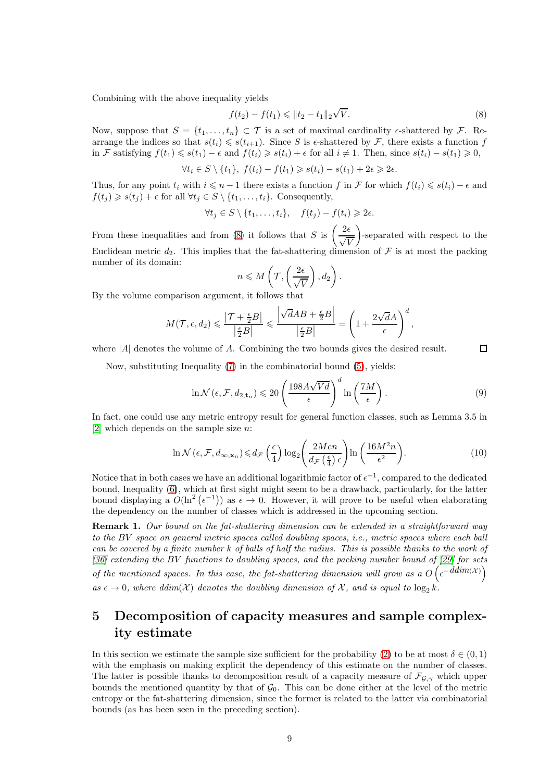Combining with the above inequality yields

$$
f(t_2) - f(t_1) \le ||t_2 - t_1||_2 \sqrt{V}.
$$
\n(8)

Now, suppose that  $S = \{t_1, \ldots, t_n\} \subset \mathcal{T}$  is a set of maximal cardinality  $\epsilon$ -shattered by  $\mathcal{F}$ . Rearrange the indices so that  $s(t_i) \leq s(t_{i+1})$ . Since S is  $\epsilon$ -shattered by F, there exists a function f in F satisfying  $f(t_1) \leq s(t_1) - \epsilon$  and  $f(t_i) \geq s(t_i) + \epsilon$  for all  $i \neq 1$ . Then, since  $s(t_i) - s(t_1) \geq 0$ ,

$$
\forall t_i \in S \setminus \{t_1\}, \ f(t_i) - f(t_1) \geqslant s(t_i) - s(t_1) + 2\epsilon \geqslant 2\epsilon.
$$

Thus, for any point  $t_i$  with  $i \leq n - 1$  there exists a function f in F for which  $f(t_i) \leq s(t_i) - \epsilon$  and  $f(t_j) \geqslant s(t_j) + \epsilon$  for all  $\forall t_j \in S \setminus \{t_1, \ldots, t_i\}$ . Consequently,

$$
\forall t_j \in S \setminus \{t_1, \ldots, t_i\}, \quad f(t_j) - f(t_i) \geq 2\epsilon.
$$

From these inequalities and from [\(8\)](#page-8-1) it follows that S is  $\left(\frac{2\epsilon}{\sqrt{s}}\right)$  $\sqrt{V}$  -separated with respect to the Euclidean metric  $d_2$ . This implies that the fat-shattering dimension of  $\mathcal F$  is at most the packing number of its domain:

$$
n \le M\left(\mathcal{T}, \left(\frac{2\epsilon}{\sqrt{V}}\right), d_2\right).
$$
  
t it follows that

By the volume comparison argument, it follows that

$$
M(\mathcal{T}, \epsilon, d_2) \leqslant \frac{\left|\mathcal{T} + \frac{\epsilon}{2}B\right|}{\left|\frac{\epsilon}{2}B\right|} \leqslant \frac{\left|\sqrt{d}AB + \frac{\epsilon}{2}B\right|}{\left|\frac{\epsilon}{2}B\right|} = \left(1 + \frac{2\sqrt{d}A}{\epsilon}\right)^d,
$$

where  $|A|$  denotes the volume of A. Combining the two bounds gives the desired result.

Now, substituting Inequality [\(7\)](#page-7-0) in the combinatorial bound [\(5\)](#page-6-0), yields:

$$
\ln \mathcal{N}\left(\epsilon, \mathcal{F}, d_{2, \mathbf{t}_n}\right) \leqslant 20 \left(\frac{198A\sqrt{Vd}}{\epsilon}\right)^d \ln\left(\frac{7M}{\epsilon}\right). \tag{9}
$$

<span id="page-8-3"></span><span id="page-8-2"></span><span id="page-8-1"></span> $\Box$ 

In fact, one could use any metric entropy result for general function classes, such as Lemma 3.5 in [\[2\]](#page-14-0) which depends on the sample size n:

$$
\ln \mathcal{N}\left(\epsilon, \mathcal{F}, d_{\infty, \mathbf{x}_n}\right) \leq d_{\mathcal{F}}\left(\frac{\epsilon}{4}\right) \log_2\left(\frac{2Men}{d_{\mathcal{F}}\left(\frac{\epsilon}{4}\right)\epsilon}\right) \ln\left(\frac{16M^2n}{\epsilon^2}\right). \tag{10}
$$

Notice that in both cases we have an additional logarithmic factor of  $\epsilon^{-1}$ , compared to the dedicated bound, Inequality [\(6\)](#page-7-1), which at first sight might seem to be a drawback, particularly, for the latter bound displaying a  $O(\ln^2({\epsilon^{-1}}))$  as  $\epsilon \to 0$ . However, it will prove to be useful when elaborating the dependency on the number of classes which is addressed in the upcoming section.

Remark 1. Our bound on the fat-shattering dimension can be extended in a straightforward way to the BV space on general metric spaces called doubling spaces, i.e., metric spaces where each ball can be covered by a finite number k of balls of half the radius. This is possible thanks to the work of [\[36\]](#page-16-15) extending the BV functions to doubling spaces, and the packing number bound of [\[29\]](#page-16-16) for sets of the mentioned spaces. In this case, the fat-shattering dimension will grow as a  $O\left(\epsilon^{-\frac{ddim(x)}{2}}\right)$ as  $\epsilon \to 0$ , where ddim(X) denotes the doubling dimension of X, and is equal to  $\log_2 k$ .

## <span id="page-8-0"></span>5 Decomposition of capacity measures and sample complexity estimate

In this section we estimate the sample size sufficient for the probability [\(2\)](#page-4-1) to be at most  $\delta \in (0,1)$ with the emphasis on making explicit the dependency of this estimate on the number of classes. The latter is possible thanks to decomposition result of a capacity measure of  $\mathcal{F}_{G,\gamma}$  which upper bounds the mentioned quantity by that of  $\mathcal{G}_0$ . This can be done either at the level of the metric entropy or the fat-shattering dimension, since the former is related to the latter via combinatorial bounds (as has been seen in the preceding section).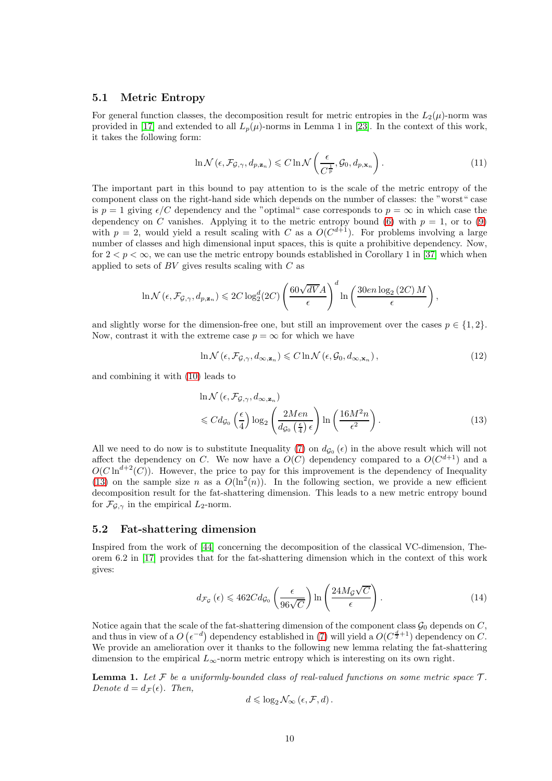#### 5.1 Metric Entropy

For general function classes, the decomposition result for metric entropies in the  $L_2(\mu)$ -norm was provided in [\[17\]](#page-15-13) and extended to all  $L_p(\mu)$ -norms in Lemma 1 in [\[23\]](#page-15-3). In the context of this work, it takes the following form:

<span id="page-9-3"></span>
$$
\ln \mathcal{N}\left(\epsilon, \mathcal{F}_{\mathcal{G}, \gamma}, d_{p, \mathbf{z}_n}\right) \leqslant C \ln \mathcal{N}\left(\frac{\epsilon}{C^{\frac{1}{p}}}, \mathcal{G}_0, d_{p, \mathbf{x}_n}\right). \tag{11}
$$

The important part in this bound to pay attention to is the scale of the metric entropy of the component class on the right-hand side which depends on the number of classes: the "worst" case is  $p = 1$  giving  $\epsilon/C$  dependency and the "optimal" case corresponds to  $p = \infty$  in which case the dependency on C vanishes. Applying it to the metric entropy bound [\(6\)](#page-7-1) with  $p = 1$ , or to [\(9\)](#page-8-2) with  $p = 2$ , would yield a result scaling with C as a  $O(C^{d+1})$ . For problems involving a large number of classes and high dimensional input spaces, this is quite a prohibitive dependency. Now, for  $2 < p < \infty$ , we can use the metric entropy bounds established in Corollary 1 in [\[37\]](#page-16-5) which when applied to sets of  $BV$  gives results scaling with  $C$  as

$$
\ln \mathcal{N}\left(\epsilon, \mathcal{F}_{\mathcal{G}, \gamma}, d_{p, \mathbf{z}_n}\right) \leqslant 2C \log_2^d(2C) \left(\frac{60\sqrt{dV}A}{\epsilon}\right)^d \ln\left(\frac{30en\log_2\left(2C\right)M}{\epsilon}\right),
$$

and slightly worse for the dimension-free one, but still an improvement over the cases  $p \in \{1, 2\}$ . Now, contrast it with the extreme case  $p = \infty$  for which we have

<span id="page-9-2"></span>
$$
\ln \mathcal{N}\left(\epsilon, \mathcal{F}_{\mathcal{G}, \gamma}, d_{\infty, \mathbf{z}_n}\right) \leqslant C \ln \mathcal{N}\left(\epsilon, \mathcal{G}_0, d_{\infty, \mathbf{x}_n}\right),\tag{12}
$$

and combining it with [\(10\)](#page-8-3) leads to

<span id="page-9-0"></span>
$$
\ln \mathcal{N}(\epsilon, \mathcal{F}_{\mathcal{G}, \gamma}, d_{\infty, \mathbf{z}_n})
$$
  
\$\leqslant C d\_{\mathcal{G}\_0} \left(\frac{\epsilon}{4}\right) \log\_2 \left(\frac{2Men}{d\_{\mathcal{G}\_0} \left(\frac{\epsilon}{4}\right) \epsilon}\right) \ln \left(\frac{16M^2n}{\epsilon^2}\right).\$ (13)

All we need to do now is to substitute Inequality [\(7\)](#page-7-0) on  $d_{\mathcal{G}_0}(\epsilon)$  in the above result which will not affect the dependency on C. We now have a  $O(C)$  dependency compared to a  $O(C^{d+1})$  and a  $O(C \ln^{d+2}(C))$ . However, the price to pay for this improvement is the dependency of Inequality [\(13\)](#page-9-0) on the sample size n as a  $O(\ln^2(n))$ . In the following section, we provide a new efficient decomposition result for the fat-shattering dimension. This leads to a new metric entropy bound for  $\mathcal{F}_{\mathcal{G},\gamma}$  in the empirical  $L_2$ -norm.

#### 5.2 Fat-shattering dimension

Inspired from the work of [\[44\]](#page-16-17) concerning the decomposition of the classical VC-dimension, Theorem 6.2 in [\[17\]](#page-15-13) provides that for the fat-shattering dimension which in the context of this work gives:

$$
d_{\mathcal{F}_{\mathcal{G}}}(\epsilon) \leqslant 462C d_{\mathcal{G}_0} \left(\frac{\epsilon}{96\sqrt{C}}\right) \ln\left(\frac{24M_{\mathcal{G}}\sqrt{C}}{\epsilon}\right). \tag{14}
$$

Notice again that the scale of the fat-shattering dimension of the component class  $\mathcal{G}_0$  depends on C, and thus in view of a  $O(\epsilon^{-d})$  dependency established in [\(7\)](#page-7-0) will yield a  $O(C^{\frac{d}{2}+1})$  dependency on C. We provide an amelioration over it thanks to the following new lemma relating the fat-shattering dimension to the empirical  $L_{\infty}$ -norm metric entropy which is interesting on its own right.

<span id="page-9-1"></span>**Lemma 1.** Let  $\mathcal F$  be a uniformly-bounded class of real-valued functions on some metric space  $\mathcal T$ . Denote  $d = d_{\mathcal{F}}(\epsilon)$ . Then,

$$
d \leqslant \log_2 \mathcal{N}_{\infty} \left( \epsilon, \mathcal{F}, d \right).
$$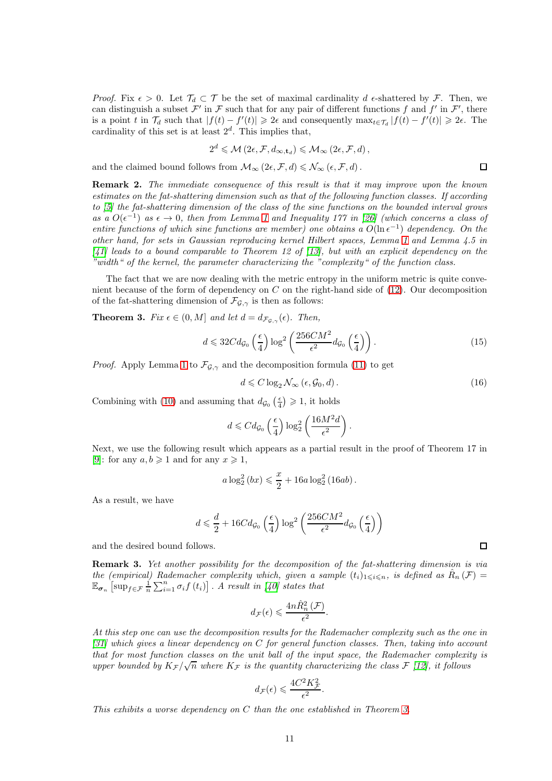*Proof.* Fix  $\epsilon > 0$ . Let  $\mathcal{T}_d \subset \mathcal{T}$  be the set of maximal cardinality d  $\epsilon$ -shattered by F. Then, we can distinguish a subset  $\mathcal{F}'$  in  $\mathcal{F}$  such that for any pair of different functions f and  $f'$  in  $\mathcal{F}'$ , there is a point t in  $\mathcal{T}_d$  such that  $|f(t) - f'(t)| \geq 2\epsilon$  and consequently  $\max_{t \in \mathcal{T}_d} |f(t) - f'(t)| \geq 2\epsilon$ . The cardinality of this set is at least  $2<sup>d</sup>$ . This implies that,

$$
2^d \leqslant \mathcal{M}\left(2\epsilon, \mathcal{F}, d_{\infty, \mathbf{t}_d}\right) \leqslant \mathcal{M}_{\infty}\left(2\epsilon, \mathcal{F}, d\right),
$$

and the claimed bound follows from  $\mathcal{M}_{\infty} (2\epsilon, \mathcal{F}, d) \leq \mathcal{N}_{\infty} (\epsilon, \mathcal{F}, d)$ .

Remark 2. The immediate consequence of this result is that it may improve upon the known estimates on the fat-shattering dimension such as that of the following function classes. If according to [\[5\]](#page-15-19) the fat-shattering dimension of the class of the sine functions on the bounded interval grows as a  $O(\epsilon^{-1})$  as  $\epsilon \to 0$ , then from Lemma [1](#page-9-1) and Inequality 177 in [\[26\]](#page-16-11) (which concerns a class of entire functions of which sine functions are member) one obtains a  $O(\ln \epsilon^{-1})$  dependency. On the other hand, for sets in Gaussian reproducing kernel Hilbert spaces, Lemma [1](#page-9-1) and Lemma 4.5 in  $[41]$  leads to a bound comparable to Theorem 12 of [\[13\]](#page-15-20), but with an explicit dependency on the "width" of the kernel, the parameter characterizing the "complexity" of the function class.

The fact that we are now dealing with the metric entropy in the uniform metric is quite convenient because of the form of dependency on  $C$  on the right-hand side of  $(12)$ . Our decomposition of the fat-shattering dimension of  $\mathcal{F}_{\mathcal{G},\gamma}$  is then as follows:

<span id="page-10-0"></span>**Theorem 3.** Fix  $\epsilon \in (0, M]$  and let  $d = d_{\mathcal{F}_{\mathcal{G}, \gamma}}(\epsilon)$ . Then,

$$
d \leqslant 32C d_{\mathcal{G}_0} \left(\frac{\epsilon}{4}\right) \log^2 \left(\frac{256 C M^2}{\epsilon^2} d_{\mathcal{G}_0} \left(\frac{\epsilon}{4}\right)\right). \tag{15}
$$

*Proof.* Apply Lemma [1](#page-9-1) to  $\mathcal{F}_{\mathcal{G},\gamma}$  and the decomposition formula [\(11\)](#page-9-3) to get

$$
d \leqslant C \log_2 \mathcal{N}_{\infty} \left( \epsilon, \mathcal{G}_0, d \right). \tag{16}
$$

Combining with [\(10\)](#page-8-3) and assuming that  $d_{\mathcal{G}_0}(\frac{\epsilon}{4}) \geq 1$ , it holds

$$
d \leq C d_{\mathcal{G}_0} \left( \frac{\epsilon}{4} \right) \log_2^2 \left( \frac{16M^2 d}{\epsilon^2} \right).
$$

Next, we use the following result which appears as a partial result in the proof of Theorem 17 in [\[9\]](#page-15-1): for any  $a, b \geq 1$  and for any  $x \geq 1$ ,

$$
a\log_2^2(bx) \leq \frac{x}{2} + 16a\log_2^2(16ab).
$$

As a result, we have

$$
d \leq \frac{d}{2} + 16C d_{\mathcal{G}_0}\left(\frac{\epsilon}{4}\right) \log^2\left(\frac{256CM^2}{\epsilon^2} d_{\mathcal{G}_0}\left(\frac{\epsilon}{4}\right)\right)
$$

and the desired bound follows.

Remark 3. Yet another possibility for the decomposition of the fat-shattering dimension is via the (empirical) Rademacher complexity which, given a sample  $(t_i)_{1\leqslant i\leqslant n}$ , is defined as  $\hat{R}_n(\mathcal{F})$  =  $\mathbb{E}_{\sigma_n} \left[ \sup_{f \in \mathcal{F}} \frac{i}{n} \sum_{i=1}^n \sigma_i f(t_i) \right]$ . A result in [\[40\]](#page-16-19) states that

$$
d_{\mathcal{F}}(\epsilon) \leqslant \frac{4n \hat{R}_{n}^{2}(\mathcal{F})}{\epsilon^{2}}.
$$

At this step one can use the decomposition results for the Rademacher complexity such as the one in [\[31\]](#page-16-4) which gives a linear dependency on C for general function classes. Then, taking into account that for most function classes on the unit ball of the input space, the Rademacher complexity is upper bounded by  $K_{\mathcal{F}}/\sqrt{n}$  where  $K_{\mathcal{F}}$  is the quantity characterizing the class  $\mathcal{F}$  [\[12\]](#page-15-0), it follows

$$
d_{\mathcal{F}}(\epsilon) \leqslant \frac{4C^2 K_{\mathcal{F}}^2}{\epsilon^2}.
$$

This exhibits a worse dependency on C than the one established in Theorem [3.](#page-10-0)

 $\Box$ 

 $\Box$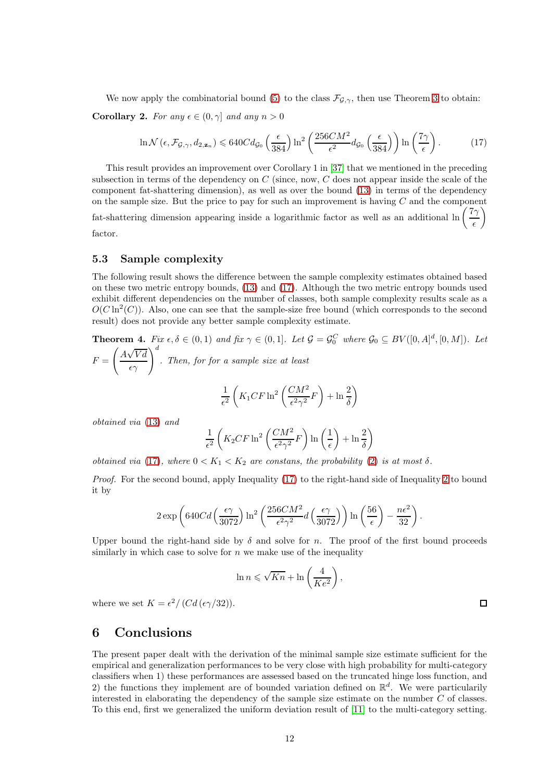<span id="page-11-2"></span>We now apply the combinatorial bound [\(5\)](#page-6-0) to the class  $\mathcal{F}_{G,\gamma}$ , then use Theorem [3](#page-10-0) to obtain: Corollary 2. For any  $\epsilon \in (0, \gamma]$  and any  $n > 0$ 

<span id="page-11-1"></span>
$$
\ln \mathcal{N}\left(\epsilon, \mathcal{F}_{\mathcal{G}, \gamma}, d_{2, \mathbf{z}_n}\right) \leqslant 640 C d_{\mathcal{G}_0} \left(\frac{\epsilon}{384}\right) \ln^2 \left(\frac{256 C M^2}{\epsilon^2} d_{\mathcal{G}_0} \left(\frac{\epsilon}{384}\right)\right) \ln \left(\frac{7\gamma}{\epsilon}\right). \tag{17}
$$

This result provides an improvement over Corollary 1 in [\[37\]](#page-16-5) that we mentioned in the preceding subsection in terms of the dependency on  $C$  (since, now,  $C$  does not appear inside the scale of the component fat-shattering dimension), as well as over the bound [\(13\)](#page-9-0) in terms of the dependency on the sample size. But the price to pay for such an improvement is having  $C$  and the component  $\setminus$ 

fat-shattering dimension appearing inside a logarithmic factor as well as an additional  $\ln\left(\frac{7\gamma}{2}\right)$  $\epsilon$ factor.

#### 5.3 Sample complexity

The following result shows the difference between the sample complexity estimates obtained based on these two metric entropy bounds, [\(13\)](#page-9-0) and [\(17\)](#page-11-1). Although the two metric entropy bounds used exhibit different dependencies on the number of classes, both sample complexity results scale as a  $O(C \ln^2(C))$ . Also, one can see that the sample-size free bound (which corresponds to the second result) does not provide any better sample complexity estimate.

<span id="page-11-3"></span>**Theorem 4.** Fix  $\epsilon, \delta \in (0,1)$  and fix  $\gamma \in (0,1]$ . Let  $\mathcal{G} = \mathcal{G}_0^C$  where  $\mathcal{G}_0 \subseteq BV([0,A]^d,[0,M])$ . Let  $F =$  $\left(\frac{A\sqrt{Vd}}{\epsilon\gamma}\right)^d$ . Then, for for a sample size at least

$$
\frac{1}{\epsilon^2} \left( K_1 C F \ln^2 \left( \frac{C M^2}{\epsilon^2 \gamma^2} F \right) + \ln \frac{2}{\delta} \right)
$$

obtained via [\(13\)](#page-9-0) and

$$
\frac{1}{\epsilon^2} \left( K_2 C F \ln^2 \left( \frac{C M^2}{\epsilon^2 \gamma^2} F \right) \ln \left( \frac{1}{\epsilon} \right) + \ln \frac{2}{\delta} \right)
$$

obtained via [\(17\)](#page-11-1), where  $0 < K_1 < K_2$  are constans, the probability [\(2\)](#page-4-1) is at most  $\delta$ .

Proof. For the second bound, apply Inequality [\(17\)](#page-11-1) to the right-hand side of Inequality [2](#page-4-1) to bound it by

$$
2 \exp\left(640Cd\left(\frac{\epsilon \gamma}{3072}\right)\ln^2\left(\frac{256CM^2}{\epsilon^2 \gamma^2}d\left(\frac{\epsilon \gamma}{3072}\right)\right)\ln\left(\frac{56}{\epsilon}\right) - \frac{n\epsilon^2}{32}\right).
$$

Upper bound the right-hand side by  $\delta$  and solve for n. The proof of the first bound proceeds similarly in which case to solve for  $n$  we make use of the inequality

$$
\ln n \leqslant \sqrt{Kn} + \ln\left(\frac{4}{Ke^2}\right),
$$

where we set  $K = \epsilon^2 / (C d (\epsilon \gamma / 32)).$ 

### <span id="page-11-0"></span>6 Conclusions

The present paper dealt with the derivation of the minimal sample size estimate sufficient for the empirical and generalization performances to be very close with high probability for multi-category classifiers when 1) these performances are assessed based on the truncated hinge loss function, and 2) the functions they implement are of bounded variation defined on  $\mathbb{R}^d$ . We were particularily interested in elaborating the dependency of the sample size estimate on the number C of classes. To this end, first we generalized the uniform deviation result of [\[11\]](#page-15-4) to the multi-category setting.

 $\Box$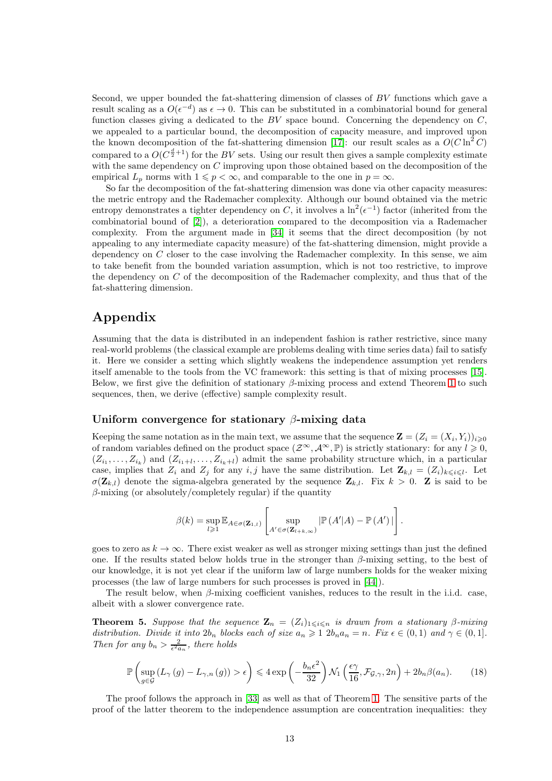Second, we upper bounded the fat-shattering dimension of classes of BV functions which gave a result scaling as a  $O(\epsilon^{-d})$  as  $\epsilon \to 0$ . This can be substituted in a combinatorial bound for general function classes giving a dedicated to the  $BV$  space bound. Concerning the dependency on  $C$ , we appealed to a particular bound, the decomposition of capacity measure, and improved upon the known decomposition of the fat-shattering dimension [\[17\]](#page-15-13): our result scales as a  $O(C \ln^2 C)$ compared to a  $O(C^{\frac{d}{2}+1})$  for the BV sets. Using our result then gives a sample complexity estimate with the same dependency on  $C$  improving upon those obtained based on the decomposition of the empirical  $L_p$  norms with  $1 \leqslant p < \infty$ , and comparable to the one in  $p = \infty$ .

So far the decomposition of the fat-shattering dimension was done via other capacity measures: the metric entropy and the Rademacher complexity. Although our bound obtained via the metric entropy demonstrates a tighter dependency on C, it involves a  $\ln^2(\epsilon^{-1})$  factor (inherited from the combinatorial bound of [\[2\]](#page-14-0)), a deterioration compared to the decomposition via a Rademacher complexity. From the argument made in [\[34\]](#page-16-20) it seems that the direct decomposition (by not appealing to any intermediate capacity measure) of the fat-shattering dimension, might provide a dependency on C closer to the case involving the Rademacher complexity. In this sense, we aim to take benefit from the bounded variation assumption, which is not too restrictive, to improve the dependency on  $C$  of the decomposition of the Rademacher complexity, and thus that of the fat-shattering dimension.

## Appendix

Assuming that the data is distributed in an independent fashion is rather restrictive, since many real-world problems (the classical example are problems dealing with time series data) fail to satisfy it. Here we consider a setting which slightly weakens the independence assumption yet renders itself amenable to the tools from the VC framework: this setting is that of mixing processes [\[15\]](#page-15-10). Below, we first give the definition of stationary  $\beta$ -mixing process and extend Theorem [1](#page-4-2) to such sequences, then, we derive (effective) sample complexity result.

#### Uniform convergence for stationary  $\beta$ -mixing data

Keeping the same notation as in the main text, we assume that the sequence  $\mathbf{Z} = (Z_i = (X_i, Y_i))_{i \geqslant 0}$ of random variables defined on the product space  $(\mathcal{Z}^{\infty}, \mathcal{A}^{\infty}, \mathbb{P})$  is strictly stationary: for any  $l \geqslant 0$ ,  $(Z_{i_1},...,Z_{i_k})$  and  $(Z_{i_1+l},...,Z_{i_k+l})$  admit the same probability structure which, in a particular case, implies that  $Z_i$  and  $Z_j$  for any i, j have the same distribution. Let  $\mathbf{Z}_{k,l} = (Z_i)_{k \leqslant i \leqslant l}$ . Let  $\sigma(\mathbf{Z}_{k,l})$  denote the sigma-algebra generated by the sequence  $\mathbf{Z}_{k,l}$ . Fix  $k > 0$ . Z is said to be  $\beta$ -mixing (or absolutely/completely regular) if the quantity

<span id="page-12-0"></span>
$$
\beta(k) = \sup_{l \geq 1} \mathbb{E}_{A \in \sigma(\mathbf{Z}_{1,l})} \left[ \sup_{A' \in \sigma(\mathbf{Z}_{l+k,\infty})} \left| \mathbb{P}(A'|A) - \mathbb{P}(A') \right| \right].
$$

goes to zero as  $k \to \infty$ . There exist weaker as well as stronger mixing settings than just the defined one. If the results stated below holds true in the stronger than  $\beta$ -mixing setting, to the best of our knowledge, it is not yet clear if the uniform law of large numbers holds for the weaker mixing processes (the law of large numbers for such processes is proved in [\[44\]](#page-16-17)).

The result below, when  $\beta$ -mixing coefficient vanishes, reduces to the result in the i.i.d. case, albeit with a slower convergence rate.

**Theorem 5.** Suppose that the sequence  $\mathbf{Z}_n = (Z_i)_{1 \leq i \leq n}$  is drawn from a stationary  $\beta$ -mixing distribution. Divide it into  $2b_n$  blocks each of size  $a_n \geq 1$   $2b_n a_n = n$ . Fix  $\epsilon \in (0,1)$  and  $\gamma \in (0,1]$ . Then for any  $b_n > \frac{2}{\epsilon^2 a_n}$ , there holds

$$
\mathbb{P}\left(\sup_{g\in\mathcal{G}}\left(L_{\gamma}\left(g\right)-L_{\gamma,n}\left(g\right)\right)>\epsilon\right)\leqslant 4\exp\left(-\frac{b_{n}\epsilon^{2}}{32}\right)\mathcal{N}_{1}\left(\frac{\epsilon\gamma}{16},\mathcal{F}_{\mathcal{G},\gamma},2n\right)+2b_{n}\beta(a_{n}).\tag{18}
$$

The proof follows the approach in [\[33\]](#page-16-8) as well as that of Theorem [1.](#page-4-2) The sensitive parts of the proof of the latter theorem to the independence assumption are concentration inequalities: they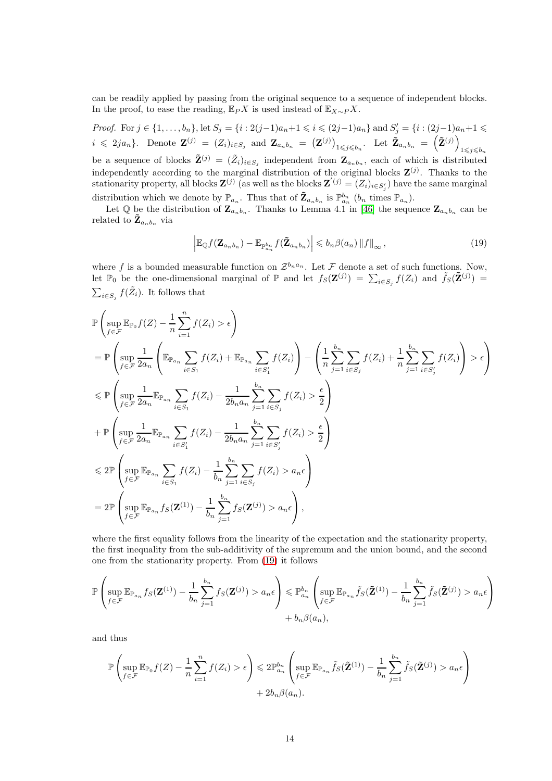can be readily applied by passing from the original sequence to a sequence of independent blocks. In the proof, to ease the reading,  $E_P X$  is used instead of  $E_{X\sim P} X$ .

*Proof.* For  $j \in \{1, ..., b_n\}$ , let  $S_j = \{i : 2(j-1)a_n + 1 \leq i \leq (2j-1)a_n\}$  and  $S'_j = \{i : (2j-1)a_n + 1 \leq i \leq (2j-1)a_n + 1 \leq i \leq (2j-1)a_n\}$  $i \leqslant 2ja_n$ . Denote  $\mathbf{Z}^{(j)} = (Z_i)_{i \in S_j}$  and  $\mathbf{Z}_{a_n b_n} = (\mathbf{Z}^{(j)})_{1 \leqslant j \leqslant b_n}$ . Let  $\tilde{\mathbf{Z}}_{a_n b_n} = (\tilde{\mathbf{Z}}^{(j)})$  $1 \leqslant j \leqslant b_n$ be a sequence of blocks  $\tilde{\mathbf{Z}}^{(j)} = (\tilde{Z}_i)_{i \in S_j}$  independent from  $\mathbf{Z}_{a_n b_n}$ , each of which is distributed independently according to the marginal distribution of the original blocks  $\mathbf{Z}^{(j)}$ . Thanks to the stationarity property, all blocks  $\mathbf{Z}^{(j)}$  (as well as the blocks  $\mathbf{Z}'^{(j)} = (Z_i)_{i \in S_j'}$ ) have the same marginal distribution which we denote by  $\mathbb{P}_{a_n}$ . Thus that of  $\tilde{\mathbf{Z}}_{a_n b_n}$  is  $\mathbb{P}_{a_n}^{b_n}$  ( $b_n$  times  $\mathbb{P}_{a_n}$ ).

Let  $\mathbb Q$  be the distribution of  $\mathbf Z_{a_n b_n}$ . Thanks to Lemma 4.1 in [\[46\]](#page-17-0) the sequence  $\mathbf Z_{a_n b_n}$  can be related to  $\mathbf{Z}_{a_n b_n}$  via

<span id="page-13-0"></span>
$$
\left| \mathbb{E}_{\mathbb{Q}} f(\mathbf{Z}_{a_n b_n}) - \mathbb{E}_{\mathbb{P}_{a_n}^{b_n}} f(\tilde{\mathbf{Z}}_{a_n b_n}) \right| \leqslant b_n \beta(a_n) \left\| f \right\|_{\infty},\tag{19}
$$

where f is a bounded measurable function on  $\mathcal{Z}^{b_n a_n}$ . Let F denote a set of such functions. Now, let  $\mathbb{P}_0$  be the one-dimensional marginal of  $\mathbb{P}$  and let  $f_S(\mathbf{Z}^{(j)}) = \sum_{i \in S_j} f(Z_i)$  and  $\tilde{f}_S(\tilde{\mathbf{Z}}^{(j)}) =$  $\sum_{i \in S_j} f(\tilde{Z}_i)$ . It follows that

$$
\mathbb{P}\left(\sup_{f\in\mathcal{F}}\mathbb{E}_{\mathbb{P}_{0}}f(Z) - \frac{1}{n}\sum_{i=1}^{n}f(Z_{i}) > \epsilon\right)
$$
\n
$$
= \mathbb{P}\left(\sup_{f\in\mathcal{F}}\frac{1}{2a_{n}}\left(\mathbb{E}_{\mathbb{P}_{a_{n}}}\sum_{i\in S_{1}}f(Z_{i}) + \mathbb{E}_{\mathbb{P}_{a_{n}}}\sum_{i\in S'_{1}}f(Z_{i})\right) - \left(\frac{1}{n}\sum_{j=1}^{b_{n}}\sum_{i\in S_{j}}f(Z_{i}) + \frac{1}{n}\sum_{j=1}^{b_{n}}\sum_{i\in S'_{j}}f(Z_{i})\right) > \epsilon\right)
$$
\n
$$
\leq \mathbb{P}\left(\sup_{f\in\mathcal{F}}\frac{1}{2a_{n}}\mathbb{E}_{\mathbb{P}_{a_{n}}}\sum_{i\in S_{1}}f(Z_{i}) - \frac{1}{2b_{n}a_{n}}\sum_{j=1}^{b_{n}}\sum_{i\in S_{j}}f(Z_{i}) > \frac{\epsilon}{2}\right)
$$
\n
$$
+ \mathbb{P}\left(\sup_{f\in\mathcal{F}}\frac{1}{2a_{n}}\mathbb{E}_{\mathbb{P}_{a_{n}}}\sum_{i\in S'_{1}}f(Z_{i}) - \frac{1}{2b_{n}a_{n}}\sum_{j=1}^{b_{n}}\sum_{i\in S'_{j}}f(Z_{i}) > \frac{\epsilon}{2}\right)
$$
\n
$$
\leq 2\mathbb{P}\left(\sup_{f\in\mathcal{F}}\mathbb{E}_{\mathbb{P}_{a_{n}}}\sum_{i\in S_{1}}f(Z_{i}) - \frac{1}{b_{n}}\sum_{j=1}^{b_{n}}\sum_{i\in S_{j}}f(Z_{i}) > a_{n}\epsilon\right)
$$
\n
$$
= 2\mathbb{P}\left(\sup_{f\in\mathcal{F}}\mathbb{E}_{\mathbb{P}_{a_{n}}}f_{S}(Z^{(1)}) - \frac{1}{b_{n}}\sum_{j=1}^{b_{n}}f_{S}(Z^{(j)}) > a_{n}\epsilon\right),
$$

where the first equality follows from the linearity of the expectation and the stationarity property, the first inequality from the sub-additivity of the supremum and the union bound, and the second one from the stationarity property. From [\(19\)](#page-13-0) it follows

$$
\mathbb{P}\left(\sup_{f\in\mathcal{F}}\mathbb{E}_{\mathbb{P}_{a_n}}f_S(\mathbf{Z}^{(1)})-\frac{1}{b_n}\sum_{j=1}^{b_n}f_S(\mathbf{Z}^{(j)})>a_n\epsilon\right)\leqslant \mathbb{P}_{a_n}^{b_n}\left(\sup_{f\in\mathcal{F}}\mathbb{E}_{\mathbb{P}_{a_n}}\tilde{f}_S(\tilde{\mathbf{Z}}^{(1)})-\frac{1}{b_n}\sum_{j=1}^{b_n}\tilde{f}_S(\tilde{\mathbf{Z}}^{(j)})>a_n\epsilon\right)+b_n\beta(a_n),
$$

and thus

$$
\mathbb{P}\left(\sup_{f\in\mathcal{F}}\mathbb{E}_{\mathbb{P}_0}f(Z)-\frac{1}{n}\sum_{i=1}^n f(Z_i)>\epsilon\right)\leq 2\mathbb{P}_{a_n}^{b_n}\left(\sup_{f\in\mathcal{F}}\mathbb{E}_{\mathbb{P}_{a_n}}\tilde{f}_S(\tilde{\mathbf{Z}}^{(1)})-\frac{1}{b_n}\sum_{j=1}^{b_n}\tilde{f}_S(\tilde{\mathbf{Z}}^{(j)})>a_n\epsilon\right)+2b_n\beta(a_n).
$$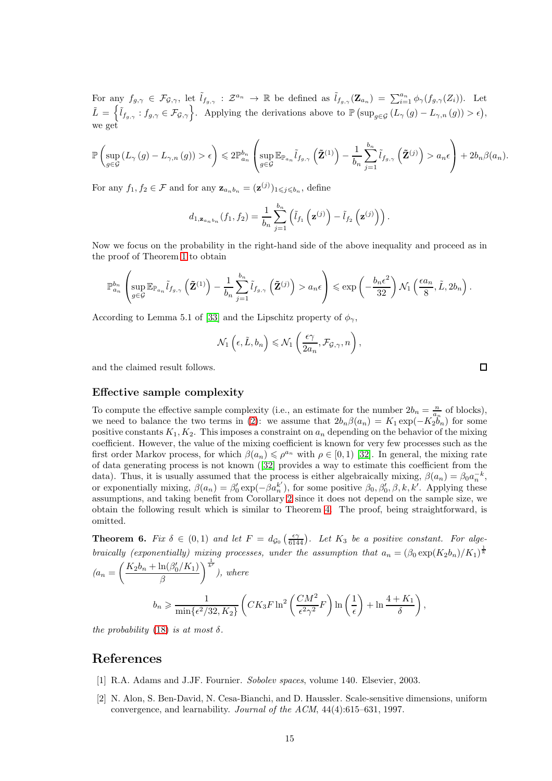For any  $f_{g,\gamma} \in \mathcal{F}_{\mathcal{G},\gamma}$ , let  $\tilde{l}_{f_{g,\gamma}} : \mathcal{Z}^{a_n} \to \mathbb{R}$  be defined as  $\tilde{l}_{f_{g,\gamma}}(\mathbf{Z}_{a_n}) = \sum_{i=1}^{a_n} \phi_{\gamma}(f_{g,\gamma}(Z_i))$ . Let  $\tilde{L} = \left\{ \tilde{l}_{f_{g,\gamma}} : f_{g,\gamma} \in \mathcal{F}_{\mathcal{G},\gamma} \right\}$ . Applying the derivations above to  $\mathbb{P} \left( \sup_{g \in \mathcal{G}} \left( L_{\gamma}(g) - L_{\gamma,n}(g) \right) > \epsilon \right)$ , we get

$$
\mathbb{P}\left(\sup_{g\in\mathcal{G}}\left(L_{\gamma}\left(g\right)-L_{\gamma,n}\left(g\right)\right)>\epsilon\right)\leqslant 2\mathbb{P}_{a_n}^{b_n}\left(\sup_{g\in\mathcal{G}}\mathbb{E}_{\mathbb{P}_{a_n}}\tilde{l}_{f_{g,\gamma}}\left(\tilde{\mathbf{Z}}^{(1)}\right)-\frac{1}{b_n}\sum_{j=1}^{b_n}\tilde{l}_{f_{g,\gamma}}\left(\tilde{\mathbf{Z}}^{(j)}\right)>a_n\epsilon\right)+2b_n\beta(a_n).
$$

For any  $f_1, f_2 \in \mathcal{F}$  and for any  $\mathbf{z}_{a_n b_n} = (\mathbf{z}^{(j)})_{1 \leq j \leq b_n}$ , define

$$
d_{1,\mathbf{z}_{a_n b_n}}(f_1, f_2) = \frac{1}{b_n} \sum_{j=1}^{b_n} (\tilde{l}_{f_1}(\mathbf{z}^{(j)}) - \tilde{l}_{f_2}(\mathbf{z}^{(j)})).
$$

Now we focus on the probability in the right-hand side of the above inequality and proceed as in the proof of Theorem [1](#page-4-2) to obtain

$$
\mathbb{P}_{a_n}^{b_n}\left(\sup_{g\in\mathcal{G}}\mathbb{E}_{\mathbb{P}_{a_n}}\tilde{l}_{f_{g,\gamma}}\left(\tilde{\mathbf{Z}}^{(1)}\right)-\frac{1}{b_n}\sum_{j=1}^{b_n}\tilde{l}_{f_{g,\gamma}}\left(\tilde{\mathbf{Z}}^{(j)}\right)>a_n\epsilon\right)\leqslant\exp\left(-\frac{b_n\epsilon^2}{32}\right)\mathcal{N}_1\left(\frac{\epsilon a_n}{8},\tilde{L},2b_n\right).
$$

According to Lemma 5.1 of [\[33\]](#page-16-8) and the Lipschitz property of  $\phi_{\gamma}$ ,

$$
\mathcal{N}_1\left(\epsilon,\tilde{L},b_n\right) \leqslant \mathcal{N}_1\left(\frac{\epsilon\gamma}{2a_n},\mathcal{F}_{\mathcal{G},\gamma},n\right),\,
$$

and the claimed result follows.

#### Effective sample complexity

To compute the effective sample complexity (i.e., an estimate for the number  $2b_n = \frac{n}{a_n}$  of blocks), we need to balance the two terms in [\(2\)](#page-4-1): we assume that  $2b_n\beta(a_n) = K_1 \exp(-K_2b_n)$  for some positive constants  $K_1, K_2$ . This imposes a constraint on  $a_n$  depending on the behavior of the mixing coefficient. However, the value of the mixing coefficient is known for very few processes such as the first order Markov process, for which  $\beta(a_n) \leq \rho^{a_n}$  with  $\rho \in [0,1)$  [\[32\]](#page-16-21). In general, the mixing rate of data generating process is not known ([\[32\]](#page-16-21) provides a way to estimate this coefficient from the data). Thus, it is usually assumed that the process is either algebraically mixing,  $\beta(a_n) = \beta_0 a_n^{-k}$ , or exponentially mixing,  $\beta(a_n) = \beta'_0 \exp(-\beta a_n^{k'})$ , for some positive  $\beta_0, \beta'_0, \beta, k, k'$ . Applying these assumptions, and taking benefit from Corollary [2](#page-11-2) since it does not depend on the sample size, we obtain the following result which is similar to Theorem [4.](#page-11-3) The proof, being straightforward, is omitted.

**Theorem 6.** Fix  $\delta \in (0,1)$  and let  $F = d_{\mathcal{G}_0}\left(\frac{\epsilon \gamma}{6144}\right)$ . Let  $K_3$  be a positive constant. For algebraically (exponentially) mixing processes, under the assumption that  $a_n = (\beta_0 \exp(K_2 b_n)/K_1)^{\frac{1}{k}}$ 

$$
(a_n = \left(\frac{K_2 b_n + \ln(\beta_0'/K_1)}{\beta}\right)^{\frac{1}{k'}}, \text{ where}
$$
  

$$
b_n \ge \frac{1}{\min\{\epsilon^2/32, K_2\}} \left(CK_3 F \ln^2\left(\frac{CM^2}{\epsilon^2 \gamma^2} F\right) \ln\left(\frac{1}{\epsilon}\right) + \ln\frac{4 + K_1}{\delta}\right),
$$

the probability [\(18\)](#page-12-0) is at most  $\delta$ .

### <span id="page-14-1"></span>References

- <span id="page-14-0"></span>[1] R.A. Adams and J.JF. Fournier. Sobolev spaces, volume 140. Elsevier, 2003.
- [2] N. Alon, S. Ben-David, N. Cesa-Bianchi, and D. Haussler. Scale-sensitive dimensions, uniform convergence, and learnability. Journal of the ACM, 44(4):615–631, 1997.

 $\Box$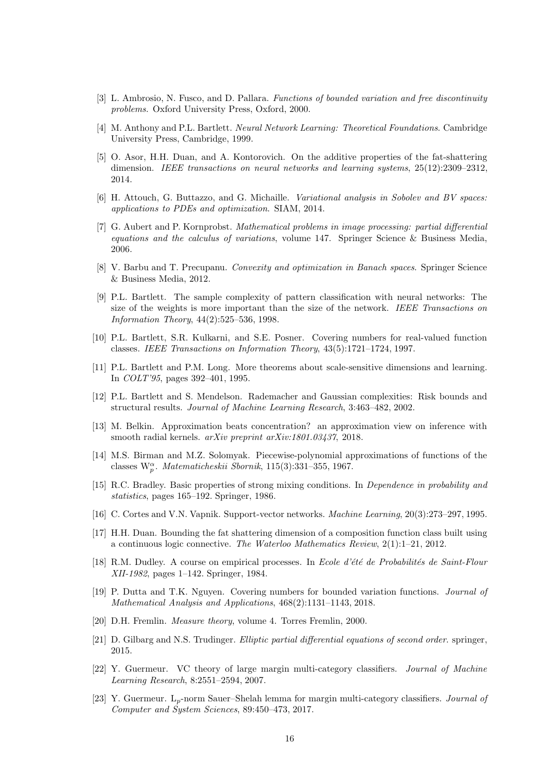- <span id="page-15-9"></span><span id="page-15-6"></span>[3] L. Ambrosio, N. Fusco, and D. Pallara. Functions of bounded variation and free discontinuity problems. Oxford University Press, Oxford, 2000.
- <span id="page-15-19"></span>[4] M. Anthony and P.L. Bartlett. Neural Network Learning: Theoretical Foundations. Cambridge University Press, Cambridge, 1999.
- [5] O. Asor, H.H. Duan, and A. Kontorovich. On the additive properties of the fat-shattering dimension. IEEE transactions on neural networks and learning systems, 25(12):2309–2312, 2014.
- <span id="page-15-15"></span>[6] H. Attouch, G. Buttazzo, and G. Michaille. Variational analysis in Sobolev and BV spaces: applications to PDEs and optimization. SIAM, 2014.
- <span id="page-15-7"></span>[7] G. Aubert and P. Kornprobst. Mathematical problems in image processing: partial differential equations and the calculus of variations, volume 147. Springer Science & Business Media, 2006.
- <span id="page-15-5"></span><span id="page-15-1"></span>[8] V. Barbu and T. Precupanu. Convexity and optimization in Banach spaces. Springer Science & Business Media, 2012.
- [9] P.L. Bartlett. The sample complexity of pattern classification with neural networks: The size of the weights is more important than the size of the network. IEEE Transactions on Information Theory, 44(2):525–536, 1998.
- <span id="page-15-12"></span>[10] P.L. Bartlett, S.R. Kulkarni, and S.E. Posner. Covering numbers for real-valued function classes. IEEE Transactions on Information Theory, 43(5):1721–1724, 1997.
- <span id="page-15-4"></span><span id="page-15-0"></span>[11] P.L. Bartlett and P.M. Long. More theorems about scale-sensitive dimensions and learning. In COLT'95, pages 392–401, 1995.
- <span id="page-15-20"></span>[12] P.L. Bartlett and S. Mendelson. Rademacher and Gaussian complexities: Risk bounds and structural results. Journal of Machine Learning Research, 3:463–482, 2002.
- [13] M. Belkin. Approximation beats concentration? an approximation view on inference with smooth radial kernels. *arXiv preprint arXiv:1801.03437*, 2018.
- <span id="page-15-18"></span>[14] M.S. Birman and M.Z. Solomyak. Piecewise-polynomial approximations of functions of the classes  $W_p^{\alpha}$ . *Matematicheskii Sbornik*, 115(3):331–355, 1967.
- <span id="page-15-10"></span>[15] R.C. Bradley. Basic properties of strong mixing conditions. In Dependence in probability and statistics, pages 165–192. Springer, 1986.
- <span id="page-15-13"></span><span id="page-15-8"></span>[16] C. Cortes and V.N. Vapnik. Support-vector networks. Machine Learning, 20(3):273–297, 1995.
- [17] H.H. Duan. Bounding the fat shattering dimension of a composition function class built using a continuous logic connective. The Waterloo Mathematics Review, 2(1):1–21, 2012.
- <span id="page-15-17"></span>[18] R.M. Dudley. A course on empirical processes. In Ecole d'été de Probabilités de Saint-Flour XII-1982, pages 1–142. Springer, 1984.
- <span id="page-15-11"></span>[19] P. Dutta and T.K. Nguyen. Covering numbers for bounded variation functions. Journal of Mathematical Analysis and Applications, 468(2):1131–1143, 2018.
- <span id="page-15-16"></span><span id="page-15-14"></span>[20] D.H. Fremlin. Measure theory, volume 4. Torres Fremlin, 2000.
- <span id="page-15-2"></span>[21] D. Gilbarg and N.S. Trudinger. Elliptic partial differential equations of second order. springer, 2015.
- [22] Y. Guermeur. VC theory of large margin multi-category classifiers. Journal of Machine Learning Research, 8:2551–2594, 2007.
- <span id="page-15-3"></span>[23] Y. Guermeur.  $L_p$ -norm Sauer–Shelah lemma for margin multi-category classifiers. *Journal of* Computer and System Sciences, 89:450–473, 2017.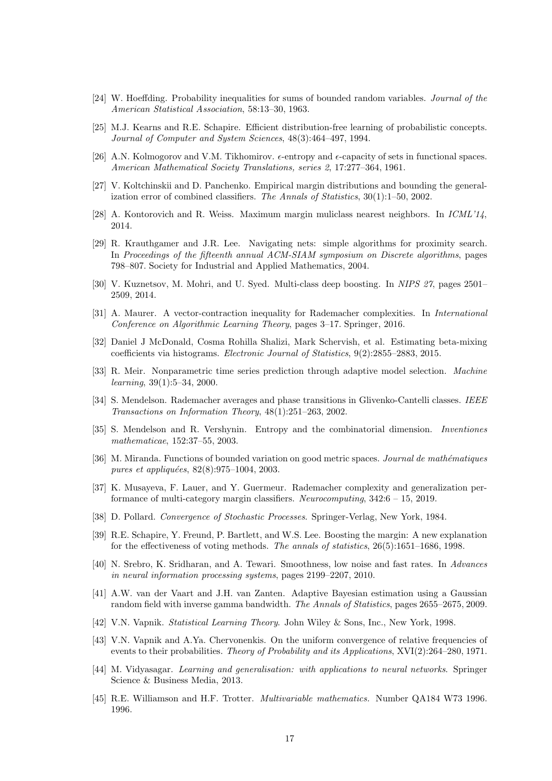- <span id="page-16-13"></span><span id="page-16-12"></span>[24] W. Hoeffding. Probability inequalities for sums of bounded random variables. Journal of the American Statistical Association, 58:13–30, 1963.
- [25] M.J. Kearns and R.E. Schapire. Efficient distribution-free learning of probabilistic concepts. Journal of Computer and System Sciences, 48(3):464–497, 1994.
- <span id="page-16-11"></span><span id="page-16-2"></span>[26] A.N. Kolmogorov and V.M. Tikhomirov.  $\epsilon$ -entropy and  $\epsilon$ -capacity of sets in functional spaces. American Mathematical Society Translations, series 2, 17:277–364, 1961.
- <span id="page-16-6"></span>[27] V. Koltchinskii and D. Panchenko. Empirical margin distributions and bounding the generalization error of combined classifiers. The Annals of Statistics, 30(1):1–50, 2002.
- <span id="page-16-16"></span>[28] A. Kontorovich and R. Weiss. Maximum margin muliclass nearest neighbors. In ICML'14, 2014.
- [29] R. Krauthgamer and J.R. Lee. Navigating nets: simple algorithms for proximity search. In Proceedings of the fifteenth annual ACM-SIAM symposium on Discrete algorithms, pages 798–807. Society for Industrial and Applied Mathematics, 2004.
- <span id="page-16-4"></span><span id="page-16-3"></span>[30] V. Kuznetsov, M. Mohri, and U. Syed. Multi-class deep boosting. In NIPS 27, pages 2501– 2509, 2014.
- <span id="page-16-21"></span>[31] A. Maurer. A vector-contraction inequality for Rademacher complexities. In International Conference on Algorithmic Learning Theory, pages 3–17. Springer, 2016.
- [32] Daniel J McDonald, Cosma Rohilla Shalizi, Mark Schervish, et al. Estimating beta-mixing coefficients via histograms. Electronic Journal of Statistics, 9(2):2855–2883, 2015.
- <span id="page-16-8"></span>[33] R. Meir. Nonparametric time series prediction through adaptive model selection. Machine learning, 39(1):5–34, 2000.
- <span id="page-16-20"></span>[34] S. Mendelson. Rademacher averages and phase transitions in Glivenko-Cantelli classes. IEEE Transactions on Information Theory, 48(1):251–263, 2002.
- <span id="page-16-15"></span><span id="page-16-9"></span>[35] S. Mendelson and R. Vershynin. Entropy and the combinatorial dimension. Inventiones mathematicae, 152:37–55, 2003.
- [36] M. Miranda. Functions of bounded variation on good metric spaces. *Journal de mathématiques* pures et appliquées,  $82(8):975-1004$ , 2003.
- <span id="page-16-7"></span><span id="page-16-5"></span>[37] K. Musayeva, F. Lauer, and Y. Guermeur. Rademacher complexity and generalization performance of multi-category margin classifiers. Neurocomputing, 342:6 – 15, 2019.
- <span id="page-16-10"></span>[38] D. Pollard. Convergence of Stochastic Processes. Springer-Verlag, New York, 1984.
- [39] R.E. Schapire, Y. Freund, P. Bartlett, and W.S. Lee. Boosting the margin: A new explanation for the effectiveness of voting methods. The annals of statistics, 26(5):1651–1686, 1998.
- <span id="page-16-19"></span>[40] N. Srebro, K. Sridharan, and A. Tewari. Smoothness, low noise and fast rates. In Advances in neural information processing systems, pages 2199–2207, 2010.
- <span id="page-16-18"></span>[41] A.W. van der Vaart and J.H. van Zanten. Adaptive Bayesian estimation using a Gaussian random field with inverse gamma bandwidth. The Annals of Statistics, pages 2655–2675, 2009.
- <span id="page-16-1"></span><span id="page-16-0"></span>[42] V.N. Vapnik. Statistical Learning Theory. John Wiley & Sons, Inc., New York, 1998.
- [43] V.N. Vapnik and A.Ya. Chervonenkis. On the uniform convergence of relative frequencies of events to their probabilities. Theory of Probability and its Applications, XVI(2):264–280, 1971.
- <span id="page-16-17"></span>[44] M. Vidyasagar. Learning and generalisation: with applications to neural networks. Springer Science & Business Media, 2013.
- <span id="page-16-14"></span>[45] R.E. Williamson and H.F. Trotter. Multivariable mathematics. Number QA184 W73 1996. 1996.